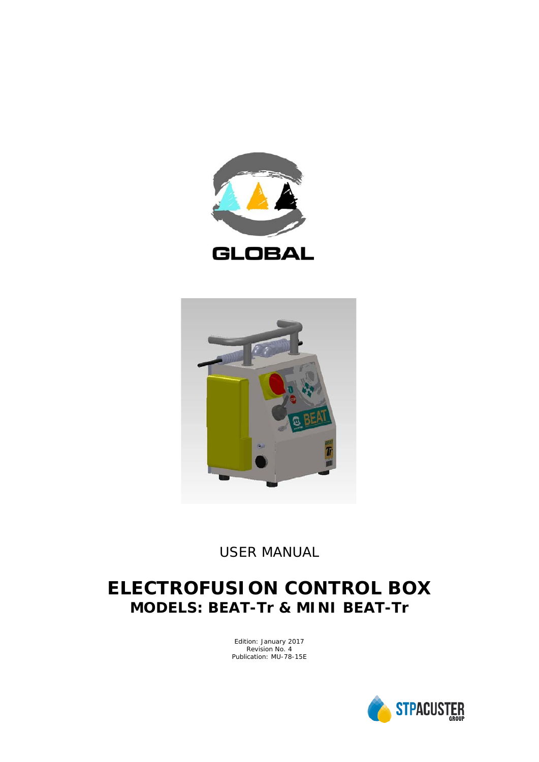



*USER MANUAL*

## **ELECTROFUSION CONTROL BOX MODELS: BEAT-Tr & MINI BEAT-Tr**

Edition: January 2017 Revision No. 4 Publication: MU-78-15E

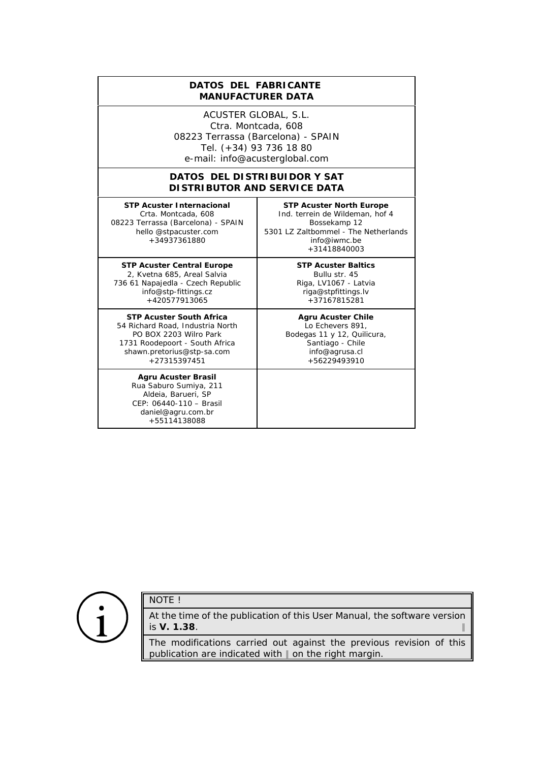## **DATOS DEL FABRICANTE**  *MANUFACTURER DATA*

ACUSTER GLOBAL, S.L. Ctra. Montcada, 608 08223 Terrassa (Barcelona) - SPAIN Tel. (+34) 93 736 18 80 e-mail: info@acusterglobal.com

## **DATOS DEL DISTRIBUIDOR Y SAT** *DISTRIBUTOR AND SERVICE DATA*

**STP Acuster Internacional** Crta. Montcada, 608 08223 Terrassa (Barcelona) - SPAIN hello @stpacuster.com +34937361880

**STP Acuster Central Europe** 2, Kvetna 685, Areal Salvia 736 61 Napajedla - Czech Republic info@stp-fittings.cz +420577913065

**STP Acuster South Africa** 54 Richard Road, Industria North PO BOX 2203 Wilro Park 1731 Roodepoort - South Africa shawn.pretorius@stp-sa.com  $+27315397451$ 

**Agru Acuster Brasil** Rua Saburo Sumiya, 211 Aldeia, Barueri, SP CEP: 06440-110 – Brasil daniel@agru.com.br +55114138088

**STP Acuster North Europe** Ind. terrein de Wildeman, hof 4 Bossekamp 12 5301 LZ Zaltbommel - The Netherlands info@iwmc.be +31418840003

> **STP Acuster Baltics** Bullu str. 45 Riga, LV1067 - Latvia riga@stpfittings.lv +37167815281

**Agru Acuster Chile** Lo Echevers 891, Bodegas 11 y 12, Quilicura, Santiago - Chile info@agrusa.cl +56229493910



## NOTE !

At the time of the publication of this *User Manual*, the software version is **V. 1.38**. 2

The modifications carried out against the previous revision of this publication are indicated with  $\parallel$  on the right margin.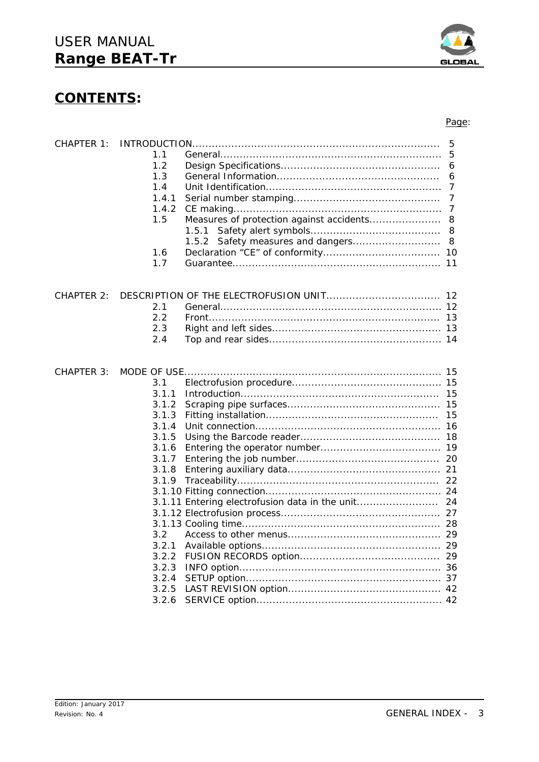## **CONTENTS:**

| 3.1            |            |  |
|----------------|------------|--|
| 3 1 1          |            |  |
| 3.1.2          |            |  |
| 3.1.3          |            |  |
| 3.1.4          |            |  |
| 3.1.5          |            |  |
| 3.1.6          |            |  |
| 3.1.7          |            |  |
| 3.1.8          |            |  |
|                |            |  |
|                |            |  |
|                |            |  |
|                |            |  |
|                |            |  |
| 3 <sup>2</sup> |            |  |
| 3.2.1          |            |  |
| 3.2.2          |            |  |
| 3.2.3          |            |  |
| 3.2.4          |            |  |
| 3.2.5          |            |  |
| 3.2.6          |            |  |
|                | CHAPTER 3: |  |

CHAPTER 1: INTRODUCTION............................................................................ 5

CHAPTER 2: DESCRIPTION OF THE ELECTROFUSION UNIT................................... 12

1.1 General.................................................................... 5 1.2 Design Specifications................................................. 6 1.3 General Information.................................................. 6 1.4 Unit Identification...................................................... 7 1.4.1 Serial number stamping............................................. 7 1.4.2 CE making................................................................ 7 1.5 Measures of protection against accidents...................... 8

> 1.5.1 Safety alert symbols........................................ 8 1.5.2 Safety measures and dangers................................ 8

1.6 Declaration "CE" of conformity.................................... 10 1.7 Guarantee................................................................ 11

2.1 General.................................................................... 12 2.2 Front....................................................................... 13 2.3 Right and left sides.................................................... 13 2.4 Top and rear sides..................................................... 14



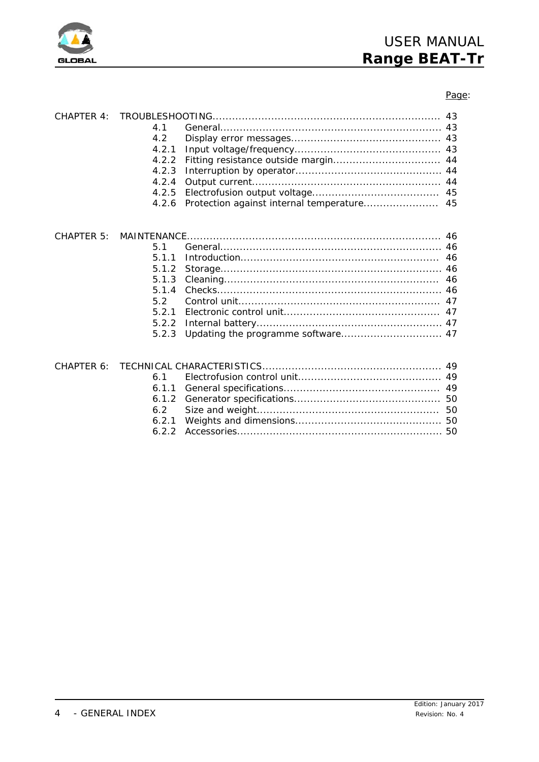

## Page:

| CHAPTER 4: | 4.1<br>4.2<br>4.2.1<br>4.2.2<br>4.2.3<br>4.2.4<br>4.2.5                   |  |
|------------|---------------------------------------------------------------------------|--|
|            | 4.2.6                                                                     |  |
| CHAPTER 5: | 5.1<br>5.1.1<br>5.1.2<br>5.1.3<br>5.1.4<br>5.2<br>5.2.1<br>5.2.2<br>5.2.3 |  |
| CHAPTER 6: | 6.1<br>6.1.1<br>6.1.2<br>6.2<br>6.2.1<br>6.2.2                            |  |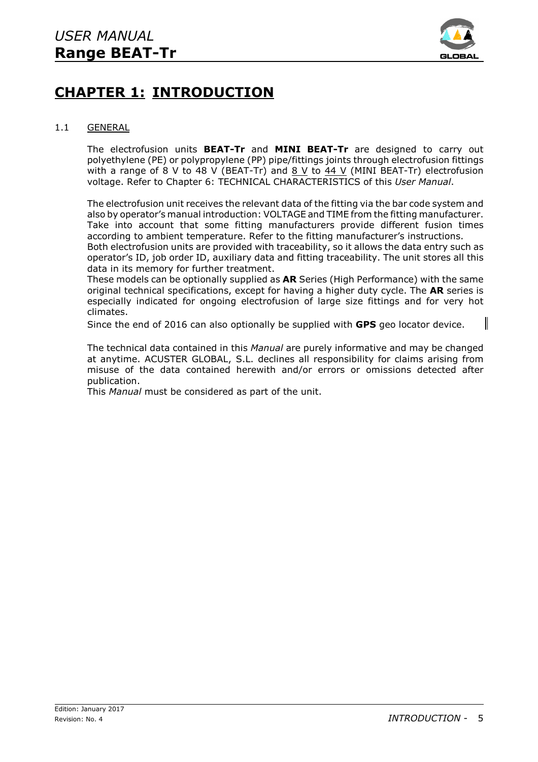

## **CHAPTER 1: INTRODUCTION**

## 1.1 GENERAL

The electrofusion units **BEAT-Tr** and **MINI BEAT-Tr** are designed to carry out polyethylene (PE) or polypropylene (PP) pipe/fittings joints through electrofusion fittings with a range of 8 V to 48 V (BEAT-Tr) and  $8$  V to  $44$  V (MINI BEAT-Tr) electrofusion voltage. Refer to Chapter 6: TECHNICAL CHARACTERISTICS of this *User Manual*.

The electrofusion unit receives the relevant data of the fitting via the bar code system and also by operator's manual introduction: VOLTAGE and TIME from the fitting manufacturer. Take into account that some fitting manufacturers provide different fusion times according to ambient temperature. Refer to the fitting manufacturer's instructions. Both electrofusion units are provided with traceability, so it allows the data entry such as operator's ID, job order ID, auxiliary data and fitting traceability. The unit stores all this data in its memory for further treatment.

These models can be optionally supplied as **AR** Series (High Performance) with the same original technical specifications, except for having a higher duty cycle. The **AR** series is especially indicated for ongoing electrofusion of large size fittings and for very hot climates.

Since the end of 2016 can also optionally be supplied with **GPS** geo locator device.

The technical data contained in this *Manual* are purely informative and may be changed at anytime. ACUSTER GLOBAL, S.L. declines all responsibility for claims arising from misuse of the data contained herewith and/or errors or omissions detected after publication.

This *Manual* must be considered as part of the unit.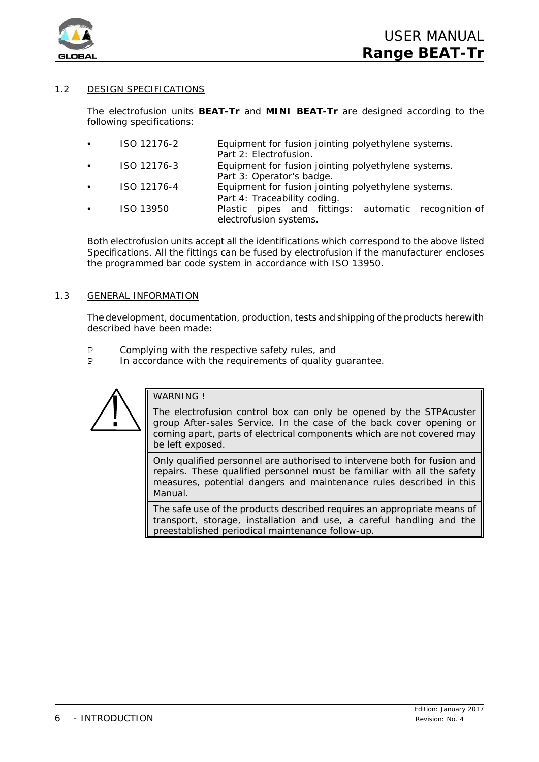

## 1.2 DESIGN SPECIFICATIONS

The electrofusion units **BEAT-Tr** and **MINI BEAT-Tr** are designed according to the following specifications:

- ISO 12176-2 Equipment for fusion jointing polyethylene systems. Part 2: Electrofusion.
- ISO 12176-3 Equipment for fusion jointing polyethylene systems. Part 3: Operator's badge.
- ISO 12176-4 Equipment for fusion jointing polyethylene systems. Part 4: Traceability coding.
- ISO 13950 Plastic pipes and fittings: automatic recognition of electrofusion systems.

Both electrofusion units accept all the identifications which correspond to the above listed Specifications. All the fittings can be fused by electrofusion if the manufacturer encloses the programmed bar code system in accordance with ISO 13950.

## 1.3 GENERAL INFORMATION

The development, documentation, production, tests and shipping of the products herewith described have been made:

- P Complying with the respective safety rules, and
- P In accordance with the requirements of quality guarantee.



## WARNING I

The electrofusion control box can only be opened by the STPAcuster group After-sales Service. In the case of the back cover opening or coming apart, parts of electrical components which are not covered may be left exposed.

Only qualified personnel are authorised to intervene both for fusion and repairs. These qualified personnel must be familiar with all the safety measures, potential dangers and maintenance rules described in this *Manual*.

The safe use of the products described requires an appropriate means of transport, storage, installation and use, a careful handling and the preestablished periodical maintenance follow-up.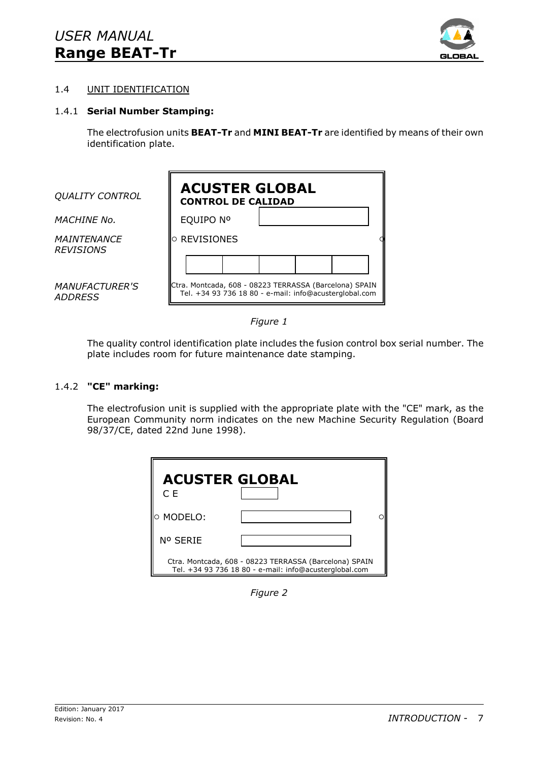

## 1.4 UNIT IDENTIFICATION

## 1.4.1 **Serial Number Stamping:**

The electrofusion units **BEAT-Tr** and **MINI BEAT-Tr** are identified by means of their own identification plate.

| <b>QUALITY CONTROL</b>                  | <b>ACUSTER GLOBAL</b><br><b>CONTROL DE CALIDAD</b>                                                               |  |  |
|-----------------------------------------|------------------------------------------------------------------------------------------------------------------|--|--|
| <b>MACHINE No.</b>                      | EQUIPO Nº                                                                                                        |  |  |
| <b>MAINTENANCE</b><br><b>REVISIONS</b>  | $\circ$ REVISIONES                                                                                               |  |  |
|                                         |                                                                                                                  |  |  |
| <b>MANUFACTURER'S</b><br><b>ADDRESS</b> | Ctra. Montcada, 608 - 08223 TERRASSA (Barcelona) SPAIN<br>Tel. +34 93 736 18 80 - e-mail: info@acusterglobal.com |  |  |



The quality control identification plate includes the fusion control box serial number. The plate includes room for future maintenance date stamping.

## 1.4.2 **"CE" marking:**

The electrofusion unit is supplied with the appropriate plate with the "CE" mark, as the European Community norm indicates on the new Machine Security Regulation (Board 98/37/CE, dated 22nd June 1998).



*Figure 2*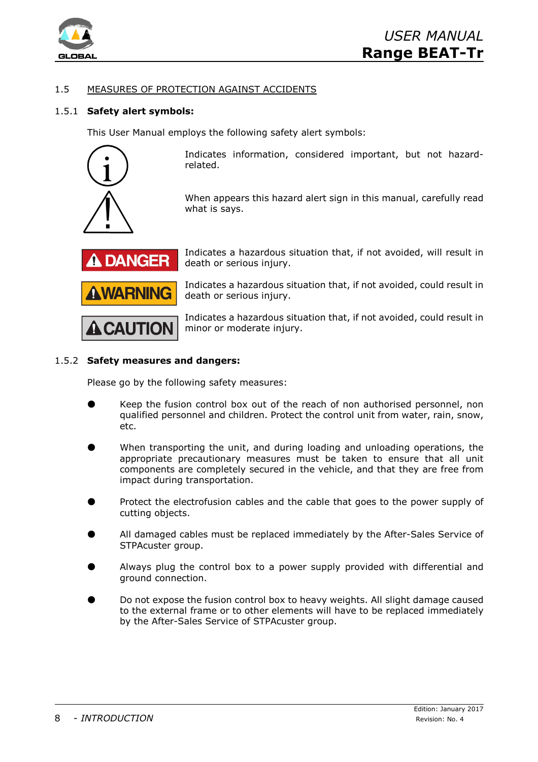

## 1.5 MEASURES OF PROTECTION AGAINST ACCIDENTS

## 1.5.1 **Safety alert symbols:**

This User Manual employs the following safety alert symbols:



Indicates information, considered important, but not hazardrelated.

When appears this hazard alert sign in this manual, carefully read what is says.



Indicates a hazardous situation that, if not avoided, will result in death or serious injury.

Indicates a hazardous situation that, if not avoided, could result in death or serious injury.

Indicates a hazardous situation that, if not avoided, could result in minor or moderate injury.

## 1.5.2 **Safety measures and dangers:**

Please go by the following safety measures:

- Keep the fusion control box out of the reach of non authorised personnel, non qualified personnel and children. Protect the control unit from water, rain, snow, etc.
- When transporting the unit, and during loading and unloading operations, the appropriate precautionary measures must be taken to ensure that all unit components are completely secured in the vehicle, and that they are free from impact during transportation.
- Protect the electrofusion cables and the cable that goes to the power supply of cutting objects.
- All damaged cables must be replaced immediately by the After-Sales Service of STPAcuster group.
- M Always plug the control box to a power supply provided with differential and ground connection.
- Do not expose the fusion control box to heavy weights. All slight damage caused to the external frame or to other elements will have to be replaced immediately by the After-Sales Service of STPAcuster group.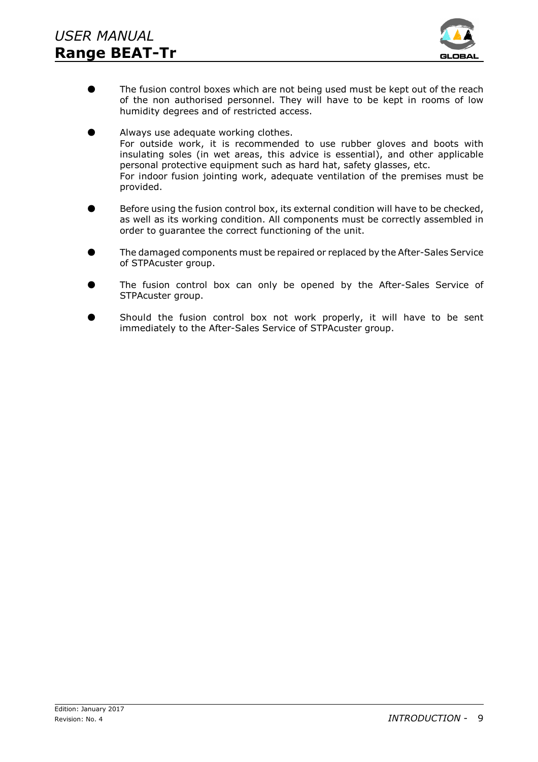

- **The fusion control boxes which are not being used must be kept out of the reach** of the non authorised personnel. They will have to be kept in rooms of low humidity degrees and of restricted access.
- Always use adequate working clothes. For outside work, it is recommended to use rubber gloves and boots with insulating soles (in wet areas, this advice is essential), and other applicable personal protective equipment such as hard hat, safety glasses, etc. For indoor fusion jointing work, adequate ventilation of the premises must be provided.
- Before using the fusion control box, its external condition will have to be checked, as well as its working condition. All components must be correctly assembled in order to guarantee the correct functioning of the unit.
- The damaged components must be repaired or replaced by the After-Sales Service of STPAcuster group.
- The fusion control box can only be opened by the After-Sales Service of STPAcuster group.
- Should the fusion control box not work properly, it will have to be sent immediately to the After-Sales Service of STPAcuster group.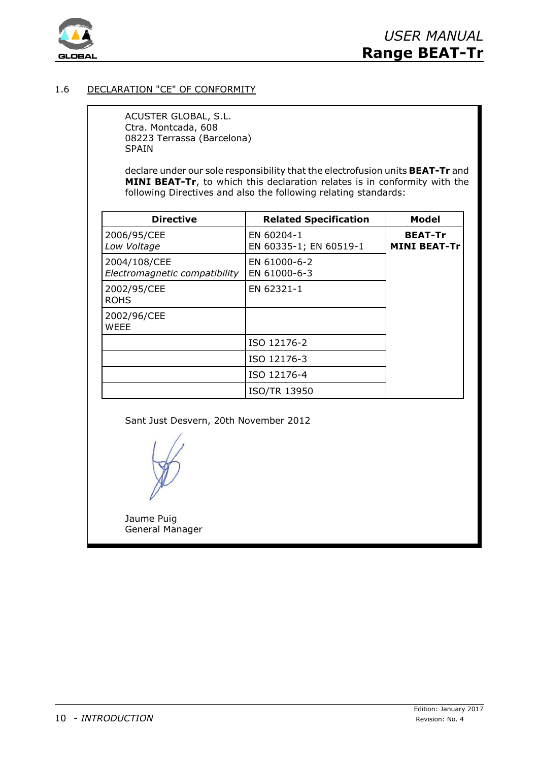

## 1.6 DECLARATION "CE" OF CONFORMITY

ACUSTER GLOBAL, S.L. Ctra. Montcada, 608 08223 Terrassa (Barcelona) SPAIN

declare under our sole responsibility that the electrofusion units **BEAT-Tr** and **MINI BEAT-Tr**, to which this declaration relates is in conformity with the following Directives and also the following relating standards:

| <b>Directive</b>                              | <b>Related Specification</b>         | <b>Model</b>                          |
|-----------------------------------------------|--------------------------------------|---------------------------------------|
| 2006/95/CEE<br>Low Voltage                    | EN 60204-1<br>EN 60335-1; EN 60519-1 | <b>BEAT-Tr</b><br><b>MINI BEAT-Tr</b> |
| 2004/108/CEE<br>Electromagnetic compatibility | EN 61000-6-2<br>EN 61000-6-3         |                                       |
| 2002/95/CEE<br><b>ROHS</b>                    | EN 62321-1                           |                                       |
| 2002/96/CEE<br><b>WEEE</b>                    |                                      |                                       |
|                                               | ISO 12176-2                          |                                       |
|                                               | ISO 12176-3                          |                                       |
|                                               | ISO 12176-4                          |                                       |
|                                               | <b>ISO/TR 13950</b>                  |                                       |

Sant Just Desvern, 20th November 2012

Jaume Puig General Manager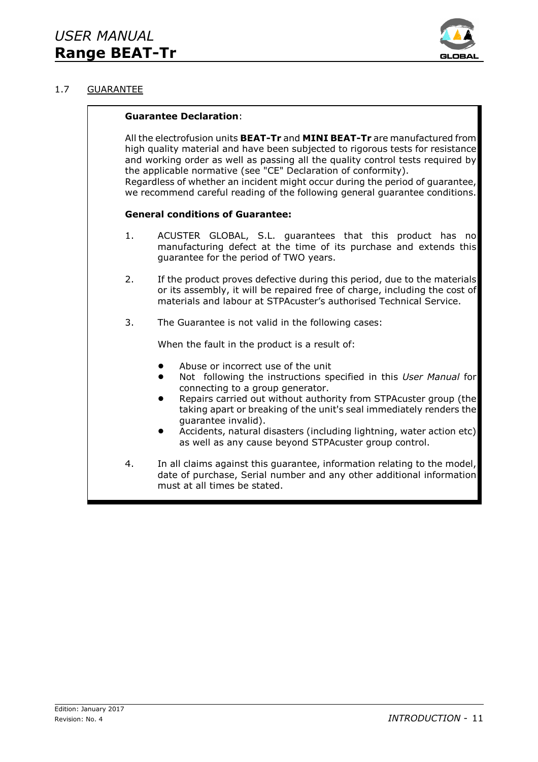

## 1.7 GUARANTEE

## **Guarantee Declaration**:

All the electrofusion units **BEAT-Tr** and **MINI BEAT-Tr** are manufactured from high quality material and have been subjected to rigorous tests for resistance and working order as well as passing all the quality control tests required by the applicable normative (see "CE" Declaration of conformity). Regardless of whether an incident might occur during the period of guarantee, we recommend careful reading of the following general guarantee conditions.

## **General conditions of Guarantee:**

- 1. ACUSTER GLOBAL, S.L. guarantees that this product has no manufacturing defect at the time of its purchase and extends this guarantee for the period of TWO years.
- 2. If the product proves defective during this period, due to the materials or its assembly, it will be repaired free of charge, including the cost of materials and labour at STPAcuster's authorised Technical Service.
- 3. The Guarantee is not valid in the following cases:

When the fault in the product is a result of:

- Abuse or incorrect use of the unit
- ! Not following the instructions specified in this *User Manual* for connecting to a group generator.
- Repairs carried out without authority from STPAcuster group (the taking apart or breaking of the unit's seal immediately renders the guarantee invalid).
- ! Accidents, natural disasters (including lightning, water action etc) as well as any cause beyond STPAcuster group control.
- 4. In all claims against this guarantee, information relating to the model, date of purchase, Serial number and any other additional information must at all times be stated.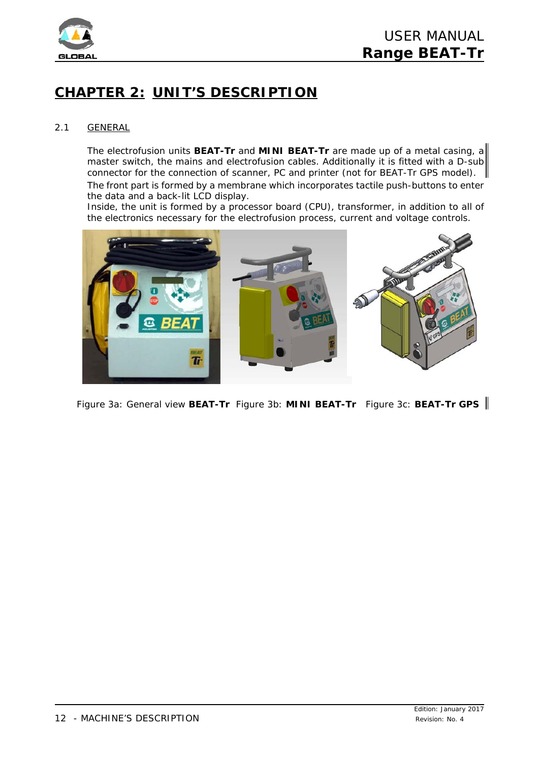

## **CHAPTER 2: UNIT'S DESCRIPTION**

## 2.1 GENERAL

The electrofusion units **BEAT-Tr** and **MINI BEAT-Tr** are made up of a metal casing, a master switch, the mains and electrofusion cables. Additionally it is fitted with a D-sub connector for the connection of scanner, PC and printer (not for BEAT-Tr GPS model). The front part is formed by a membrane which incorporates tactile push-buttons to enter the data and a back-lit LCD display.

Inside, the unit is formed by a processor board (CPU), transformer, in addition to all of the electronics necessary for the electrofusion process, current and voltage controls.



 *Figure 3a: General view BEAT-Tr Figure 3b: MINI BEAT-Tr Figure 3c: BEAT-Tr GPS*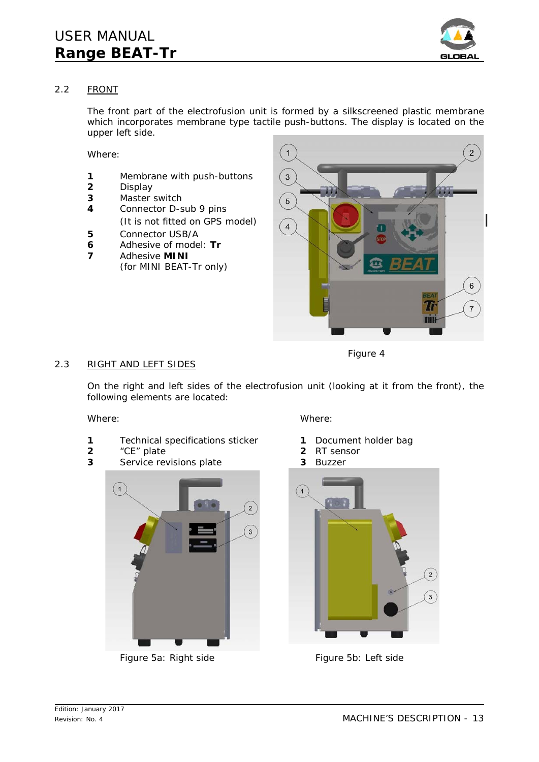

## 2.2 FRONT

The front part of the electrofusion unit is formed by a silkscreened plastic membrane which incorporates membrane type tactile push-buttons. The display is located on the upper left side.

Where:

- **1** Membrane with push-buttons
- **2** Display
- **3** Master switch
- **4** Connector D-sub 9 pins (It is not fitted on GPS model)
- **5** Connector USB/A
- **6** Adhesive of model: **Tr**
- **7** Adhesive **MINI** (for MINI BEAT-Tr only)



## 2.3 RIGHT AND LEFT SIDES

*Figure 4*

On the right and left sides of the electrofusion unit (looking at it from the front), the following elements are located:

- **1** Technical specifications sticker **1** Document holder bag
- **2** "CE" plate **2** RT sensor
- **3** Service revisions plate **3** Buzzer



*Figure 5a: Right side Figure 5b: Left side*

Where: Where:

- 
- 
- 

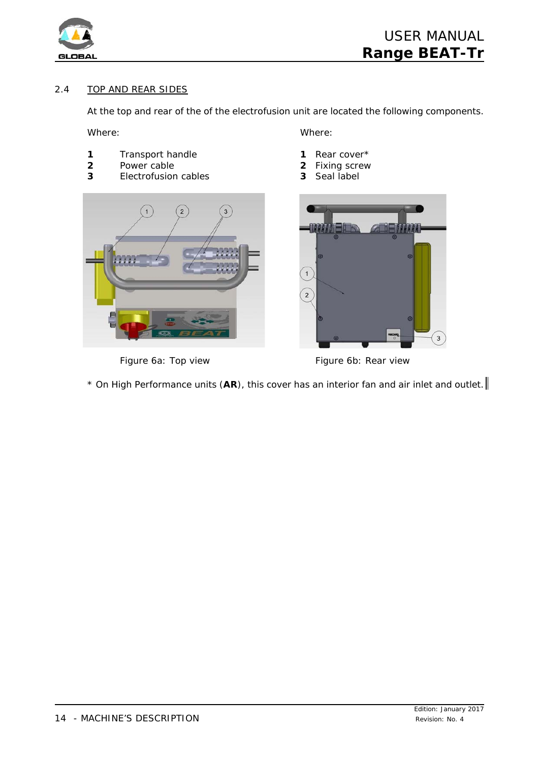

## 2.4 TOP AND REAR SIDES

At the top and rear of the of the electrofusion unit are located the following components.

Where: Where: Where:

- 1 Transport handle **1** Rear cover\*
- **2** Power cable **2** Fixing screw
- **3** Electrofusion cables **3** Seal label



- 
- 
- 



*Figure 6a: Top view Figure 6b: Rear view*

\* On High Performance units (**AR**), this cover has an interior fan and air inlet and outlet.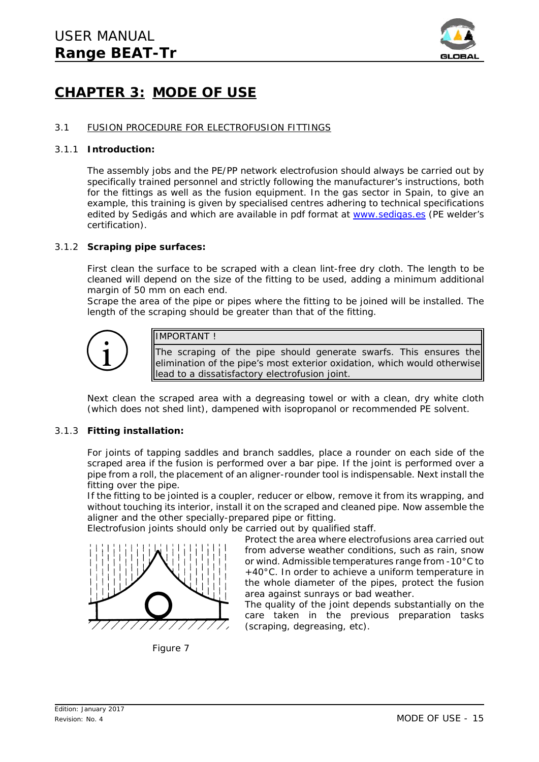

## **CHAPTER 3: MODE OF USE**

## 3.1 FUSION PROCEDURE FOR ELECTROFUSION FITTINGS

### 3.1.1 **Introduction:**

The assembly jobs and the PE/PP network electrofusion should always be carried out by specifically trained personnel and strictly following the manufacturer's instructions, both for the fittings as well as the fusion equipment. In the gas sector in Spain, to give an example, this training is given by specialised centres adhering to technical specifications edited by Sedigás and which are available in pdf format at www.sedigas.es (PE welder's certification).

### 3.1.2 **Scraping pipe surfaces:**

First clean the surface to be scraped with a clean lint-free dry cloth. The length to be cleaned will depend on the size of the fitting to be used, adding a minimum additional margin of 50 mm on each end.

Scrape the area of the pipe or pipes where the fitting to be joined will be installed. The length of the scraping should be greater than that of the fitting.



## IMPORTANT !

The scraping of the pipe should generate swarfs. This ensures the elimination of the pipe's most exterior oxidation, which would otherwise lead to a dissatisfactory electrofusion joint.

Next clean the scraped area with a degreasing towel or with a clean, dry white cloth (which does not shed lint), dampened with isopropanol or recommended PE solvent.

## 3.1.3 **Fitting installation:**

For joints of *tapping saddles* and *branch saddles*, place a rounder on each side of the scraped area if the fusion is performed over a bar pipe. If the joint is performed over a pipe from a roll, the placement of an aligner-rounder tool is indispensable. Next install the fitting over the pipe.

If the fitting to be jointed is a *coupler*, *reducer* or *elbow*, remove it from its wrapping, and without touching its interior, install it on the scraped and cleaned pipe. Now assemble the aligner and the other specially-prepared pipe or fitting.

Electrofusion joints should only be carried out by qualified staff.



*Figure 7*

Protect the area where electrofusions area carried out from adverse weather conditions, such as rain, snow or wind. Admissible temperatures range from -10°C to +40°C. In order to achieve a uniform temperature in the whole diameter of the pipes, protect the fusion area against sunrays or bad weather.

The quality of the joint depends substantially on the care taken in the previous preparation tasks (scraping, degreasing, etc).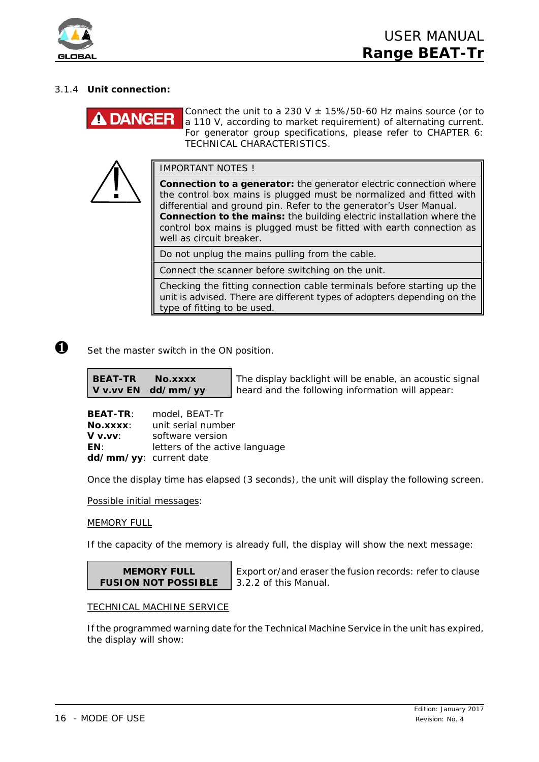

## 3.1.4 **Unit connection:**

# **DANGER**

Connect the unit to a 230 V  $\pm$  15%/50-60 Hz mains source (or to a 110 V, according to market requirement) of alternating current. For generator group specifications, please refer to *CHAPTER 6: TECHNICAL CHARACTERISTICS*.

IMPORTANT NOTES !

**Connection to a generator:** the generator electric connection where the control box mains is plugged must be normalized and fitted with differential and ground pin. Refer to the generator's User Manual. **Connection to the mains:** the building electric installation where the control box mains is plugged must be fitted with earth connection as well as circuit breaker.

Do not unplug the mains pulling from the cable.

Connect the scanner before switching on the unit.

Checking the fitting connection cable terminals before starting up the unit is advised. There are different types of adopters depending on the type of fitting to be used.

 $\bullet$  Set the master switch in the ON position.

**BEAT-TR No.xxxx V v.vv EN dd/mm/yy**

The display backlight will be enable, an acoustic signal heard and the following information will appear:

**BEAT-TR**: model, BEAT-Tr **No.xxxx**: unit serial number **V v.vv**: software version **EN:** letters of the active language **dd/mm/yy**: current date

Once the display time has elapsed (3 seconds), the unit will display the following screen.

*Possible initial messages:*

MEMORY FULL

If the capacity of the memory is already full, the display will show the next message:

**MEMORY FULL FUSION NOT POSSIBLE**

Export or/and eraser the fusion records: refer to clause 3.2.2 of this *Manual*.

## **TECHNICAL MACHINE SERVICE**

If the programmed warning date for the Technical Machine Service in the unit has expired, the display will show: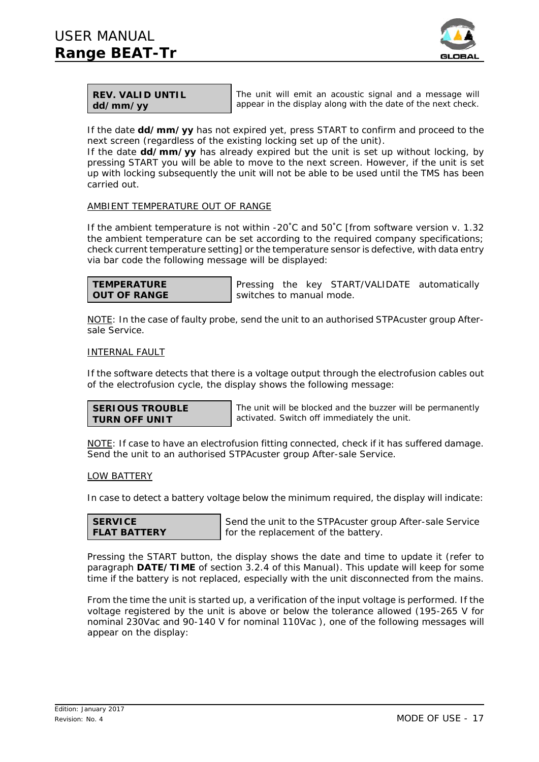

| <b>REV. VALID UNTIL</b> |  |
|-------------------------|--|
| dd/mm/yy                |  |

The unit will emit an acoustic signal and a message will appear in the display along with the date of the next check.

If the date **dd/mm/yy** has not expired yet, press START to confirm and proceed to the next screen (regardless of the existing locking set up of the unit).

If the date **dd/mm/yy** has already expired but the unit is set up without locking, by pressing START you will be able to move to the next screen. However, if the unit is set up with locking subsequently the unit will not be able to be used until the TMS has been carried out.

## AMBIENT TEMPERATURE OUT OF RANGE

If the ambient temperature is not within -20 $^{\circ}$ C and 50 $^{\circ}$ C [from software version v. 1.32 the ambient temperature can be set according to the required company specifications; check current temperature setting] or the temperature sensor is defective, with data entry via bar code the following message will be displayed:

| <b>TEMPERATURE</b>  |  |
|---------------------|--|
| <b>OUT OF RANGE</b> |  |

Pressing the key START/VALIDATE automatically switches to manual mode.

NOTE: In the case of faulty probe, send the unit to an authorised STPAcuster group Aftersale Service.

### INTERNAL FAULT

If the software detects that there is a voltage output through the electrofusion cables out of the electrofusion cycle, the display shows the following message:

| <b>SERIOUS TROUBLE</b> |
|------------------------|
| <b>TURN OFF UNIT</b>   |

The unit will be blocked and the buzzer will be permanently activated. Switch off immediately the unit.

NOTE: If case to have an electrofusion fitting connected, check if it has suffered damage. Send the unit to an authorised STPAcuster group After-sale Service.

## LOW BATTERY

In case to detect a battery voltage below the minimum required, the display will indicate:

| <b>SERVICE</b>      |  |
|---------------------|--|
| <b>FLAT BATTERY</b> |  |

Send the unit to the STPAcuster group After-sale Service for the replacement of the battery.

Pressing the START button, the display shows the date and time to update it (refer to paragraph **DATE/TIME** of section 3.2.4 of this *Manual*). This update will keep for some time if the battery is not replaced, especially with the unit disconnected from the mains.

From the time the unit is started up, a verification of the input voltage is performed. If the voltage registered by the unit is above or below the tolerance allowed (195-265 V for nominal 230Vac and 90-140 V for nominal 110Vac ), one of the following messages will appear on the display: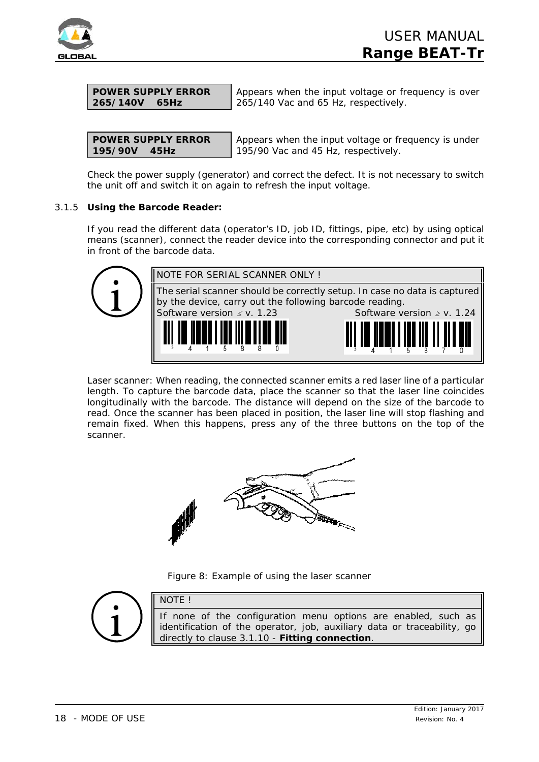

| <b>POWER SUPPLY ERROR</b> |  |
|---------------------------|--|
| 265/140V 65Hz             |  |

Appears when the input voltage or frequency is over 265/140 Vac and 65 Hz, respectively.

|                | <b>POWER SUPPLY ERROR</b> |
|----------------|---------------------------|
| $195/90V$ 45Hz |                           |

Appears when the input voltage or frequency is under 195/90 Vac and 45 Hz, respectively.

Check the power supply (generator) and correct the defect. It is not necessary to switch the unit off and switch it on again to refresh the input voltage.

## 3.1.5 **Using the Barcode Reader:**

If you read the different data (operator's ID, job ID, fittings, pipe, etc) by using optical means (scanner), connect the reader device into the corresponding connector and put it in front of the barcode data.



*Laser scanner:* When reading, the connected scanner emits a red laser line of a particular length. To capture the barcode data, place the scanner so that the laser line coincides longitudinally with the barcode. The distance will depend on the size of the barcode to read. Once the scanner has been placed in position, the laser line will stop flashing and remain fixed. When this happens, press any of the three buttons on the top of the scanner.



*Figure 8: Example of using the laser scanner*



NOTE !

If none of the configuration menu options are enabled, such as identification of the operator, job, auxiliary data or traceability, go directly to clause 3.1.10 - **Fitting connection**.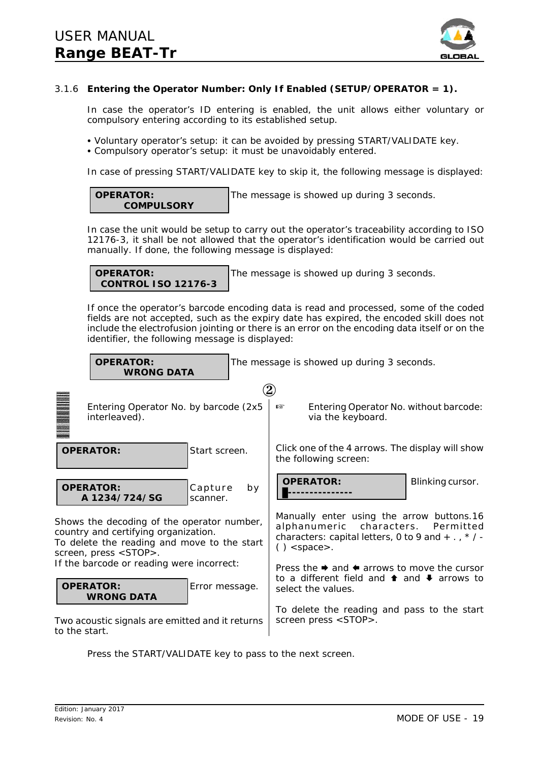

## 3.1.6 **Entering the Operator Number: Only If Enabled (SETUP/OPERATOR = 1).**

In case the operator's ID entering is enabled, the unit allows either voluntary or compulsory entering according to its established setup.

- *Voluntary operator's setup*: it can be avoided by pressing START/VALIDATE key.
- Compulsory operator's setup: it must be unavoidably entered.

In case of pressing START/VALIDATE key to skip it, the following message is displayed:

#### **OPERATOR: COMPULSORY**

The message is showed up during 3 seconds.

In case the unit would be setup to carry out the operator's traceability according to ISO 12176-3, it shall be not allowed that the operator's identification would be carried out manually. If done, the following message is displayed:

**OPERATOR: CONTROL ISO 12176-3**

The message is showed up during 3 seconds.

If once the operator's barcode encoding data is read and processed, some of the coded fields are not accepted, such as the expiry date has expired, the encoded skill does not include the electrofusion jointing or there is an error on the encoding data itself or on the identifier, the following message is displayed:



Press the START/VALIDATE key to pass to the next screen.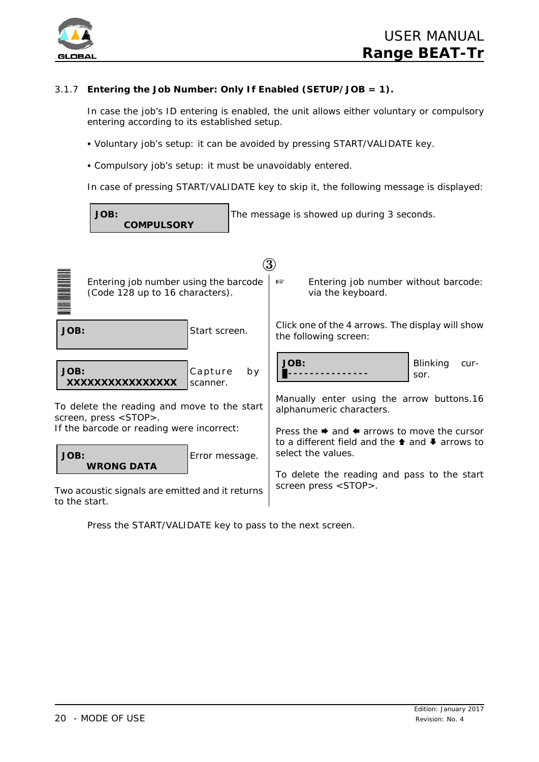

## 3.1.7 **Entering the Job Number: Only If Enabled (SETUP/JOB = 1).**

In case the job's ID entering is enabled, the unit allows either voluntary or compulsory entering according to its established setup.

- *Voluntary job's setup*: it can be avoided by pressing START/VALIDATE key.
- *Compulsory job's setup*: it must be unavoidably entered.

In case of pressing START/VALIDATE key to skip it, the following message is displayed:



Press the START/VALIDATE key to pass to the next screen.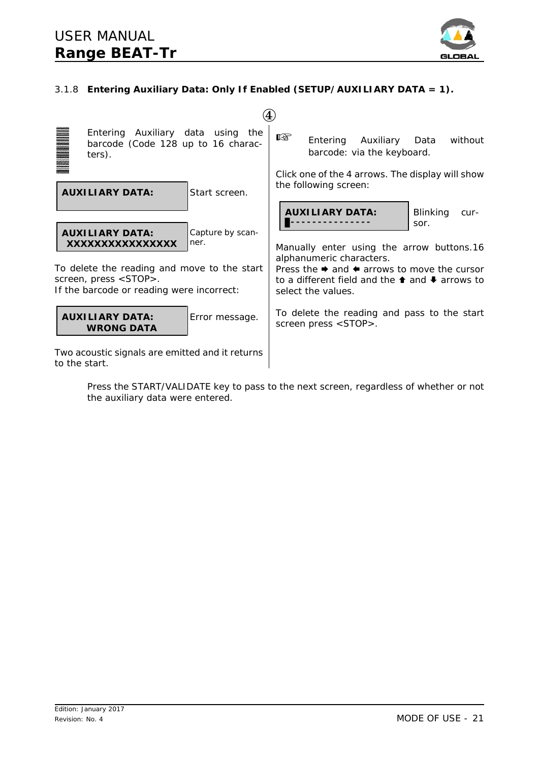![](_page_20_Picture_1.jpeg)

## 3.1.8 **Entering Auxiliary Data: Only If Enabled (SETUP/AUXILIARY DATA = 1).**

![](_page_20_Figure_3.jpeg)

Press the START/VALIDATE key to pass to the next screen, regardless of whether or not the auxiliary data were entered.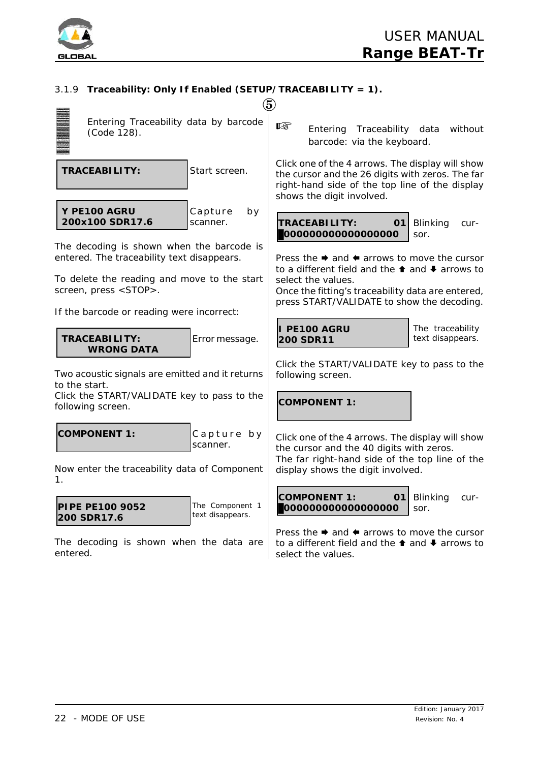![](_page_21_Picture_0.jpeg)

## 3.1.9 **Traceability: Only If Enabled (SETUP/TRACEABILITY = 1).**

|                                                                                                                                                                        | $\bf 5$                                                                                                                                                                                                                                                                     |
|------------------------------------------------------------------------------------------------------------------------------------------------------------------------|-----------------------------------------------------------------------------------------------------------------------------------------------------------------------------------------------------------------------------------------------------------------------------|
| Entering Traceability data by barcode<br>(Code 128).                                                                                                                   | 隐<br>Entering Traceability data<br>without<br>barcode: via the keyboard.                                                                                                                                                                                                    |
| <b>TRACEABILITY:</b><br>Start screen.                                                                                                                                  | Click one of the 4 arrows. The display will show<br>the cursor and the 26 digits with zeros. The far<br>right-hand side of the top line of the display<br>shows the digit involved.                                                                                         |
| Y PE100 AGRU<br>Capture<br>by<br>200x100 SDR17.6<br>scanner.                                                                                                           | <b>TRACEABILITY:</b><br>01<br><b>Blinking</b><br>cur-<br>000000000000000000<br>sor.                                                                                                                                                                                         |
| The decoding is shown when the barcode is<br>entered. The traceability text disappears.<br>To delete the reading and move to the start<br>screen, press <stop>.</stop> | Press the $\rightarrow$ and $\leftarrow$ arrows to move the cursor<br>to a different field and the $\triangle$ and $\blacktriangleright$ arrows to<br>select the values.<br>Once the fitting's traceability data are entered,<br>press START/VALIDATE to show the decoding. |
| If the barcode or reading were incorrect:<br><b>TRACEABILITY:</b><br>Error message.<br><b>WRONG DATA</b>                                                               | I PE100 AGRU<br>The traceability<br>text disappears.<br><b>200 SDR11</b>                                                                                                                                                                                                    |
| Two acoustic signals are emitted and it returns<br>to the start.<br>Click the START/VALIDATE key to pass to the<br>following screen.                                   | Click the START/VALIDATE key to pass to the<br>following screen.<br><b>COMPONENT 1:</b>                                                                                                                                                                                     |
| <b>COMPONENT 1:</b><br>Capture by<br>scanner.<br>Now enter the traceability data of Component                                                                          | Click one of the 4 arrows. The display will show<br>the cursor and the 40 digits with zeros.<br>The far right-hand side of the top line of the<br>display shows the digit involved.                                                                                         |
| 1.<br>The Component 1<br><b>PIPE PE100 9052</b><br>text disappears.<br>200 SDR17.6                                                                                     | <b>COMPONENT 1:</b><br>01<br>Blinking<br>cur-<br>000000000000000000<br>sor.                                                                                                                                                                                                 |
| The decoding is shown when the data are                                                                                                                                | Press the $\rightarrow$ and $\leftarrow$ arrows to move the cursor<br>to a different field and the <sup>↑</sup> and ↓ arrows to                                                                                                                                             |

select the values.

entered.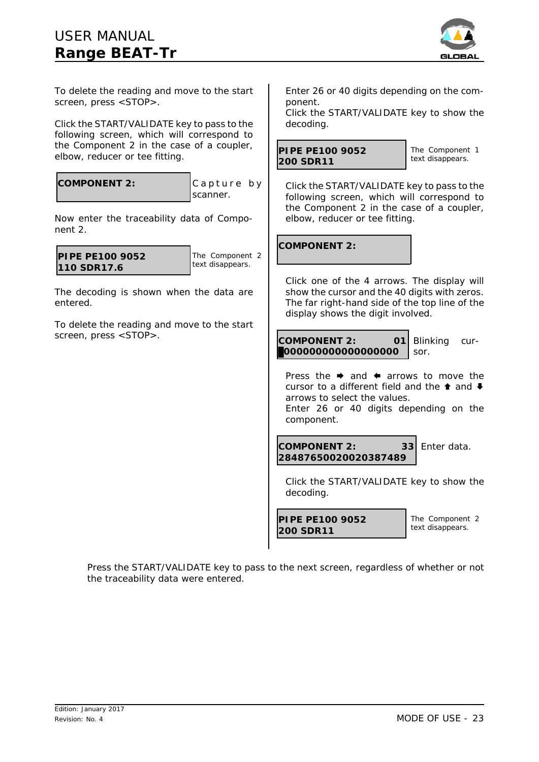## *USER MANUAL* **Range BEAT-Tr**

![](_page_22_Picture_1.jpeg)

To delete the reading and move to the start screen, press <STOP>.

Click the START/VALIDATE key to pass to the following screen, which will correspond to the Component 2 in the case of a *coupler*, *elbow*, *reducer* or *tee* fitting.

|  | <b>COMPONENT 2:</b> |  |
|--|---------------------|--|
|  |                     |  |

Capture by scanner.

Now enter the traceability data of Component 2.

| PIPE PE100 9052<br>110 SDR17.6 |
|--------------------------------|
|                                |

The Component 2 text disappears.

The decoding is shown when the data are entered.

To delete the reading and move to the start screen, press <STOP>.

Enter 26 or 40 digits depending on the component.

Click the START/VALIDATE key to show the decoding.

```
PIPE PE100 9052
200 SDR11
```
The Component 1 text disappears.

Click the START/VALIDATE key to pass to the following screen, which will correspond to the Component 2 in the case of a *coupler*, *elbow*, *reducer* or *tee* fitting.

**COMPONENT 2:**

Click one of the 4 arrows. The display will show the cursor and the 40 digits with zeros. The far right-hand side of the top line of the display shows the digit involved.

**COMPONENT 2: 01** \$**000000000000000000** Blinking cursor.

Press the  $\rightarrow$  and  $\leftarrow$  arrows to move the cursor to a different field and the  $\triangle$  and  $\triangle$ arrows to select the values. Enter 26 or 40 digits depending on the component.

**COMPONENT 2: 33 28487650020020387489** Enter data.

Click the START/VALIDATE key to show the decoding.

```
PIPE PE100 9052
200 SDR11
```
The Component 2 text disappears.

Press the START/VALIDATE key to pass to the next screen, regardless of whether or not the traceability data were entered.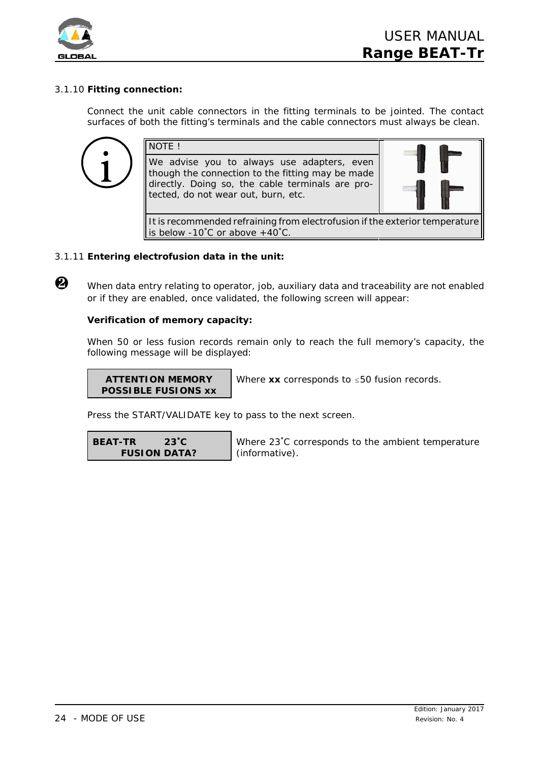![](_page_23_Picture_0.jpeg)

## 3.1.10 **Fitting connection:**

Connect the unit cable connectors in the fitting terminals to be jointed. The contact surfaces of both the fitting's terminals and the cable connectors must always be clean.

![](_page_23_Picture_4.jpeg)

## 3.1.11 **Entering electrofusion data in the unit:**

When data entry relating to operator, job, auxiliary data and traceability are not enabled or if they are enabled, once validated, the following screen will appear:

## **Verification of memory capacity:**

When 50 or less fusion records remain only to reach the full memory's capacity, the following message will be displayed:

**ATTENTION MEMORY POSSIBLE FUSIONS xx**

Where  $xx$  corresponds to  $\leq 50$  fusion records.

Press the START/VALIDATE key to pass to the next screen.

**BEAT-TR 23**/**C FUSION DATA?**

Where 23°C corresponds to the ambient temperature (informative).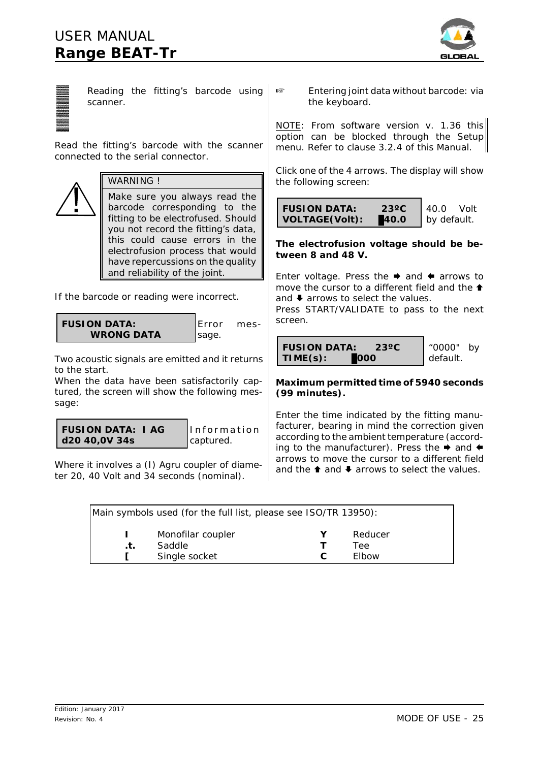## *USER MANUAL* **Range BEAT-Tr**

![](_page_24_Picture_1.jpeg)

| Reading the fitting's barcode using<br>scanner.                                                                                           | Entering joint data without barcode: via<br>rs.<br>the keyboard.                                                                                                                                                                               |  |
|-------------------------------------------------------------------------------------------------------------------------------------------|------------------------------------------------------------------------------------------------------------------------------------------------------------------------------------------------------------------------------------------------|--|
| Read the fitting's barcode with the scanner<br>connected to the serial connector.                                                         | NOTE: From software version v. 1.36 this<br>option can be blocked through the Setup<br>menu. Refer to clause 3.2.4 of this Manual.                                                                                                             |  |
| <b>WARNING!</b>                                                                                                                           | Click one of the 4 arrows. The display will show<br>the following screen:                                                                                                                                                                      |  |
| Make sure you always read the<br>barcode corresponding to the<br>fitting to be electrofused. Should<br>you not record the fitting's data, | $23^{\circ}$ C<br><b>FUSION DATA:</b><br>40.0<br>Volt<br><b>VOLTAGE(Volt):</b><br>40.0<br>by default.                                                                                                                                          |  |
| this could cause errors in the<br>electrofusion process that would<br>have repercussions on the quality                                   | The electrofusion voltage should be be-<br>tween 8 and 48 V.                                                                                                                                                                                   |  |
| and reliability of the joint.<br>If the barcode or reading were incorrect.                                                                | Enter voltage. Press the $\rightarrow$ and $\leftarrow$ arrows to<br>move the cursor to a different field and the $\triangle$<br>and $\blacktriangleright$ arrows to select the values.<br>Press START/VALIDATE to pass to the next<br>screen. |  |
| <b>FUSION DATA:</b><br>Error<br>mes-<br><b>WRONG DATA</b><br>sage.<br>Two acoustic signals are emitted and it returns                     | <b>FUSION DATA:</b><br>"0000"<br>$23^{\circ}$ C<br>by<br>TIME(s):<br>000<br>default.                                                                                                                                                           |  |
| to the start.<br>When the data have been satisfactorily cap-<br>tured, the screen will show the following mes-<br>sage:                   | Maximum permitted time of 5940 seconds<br>(99 minutes).                                                                                                                                                                                        |  |
| <b>FUSION DATA: I AG</b><br>Information<br>d20 40,0V 34s<br>captured.                                                                     | Enter the time indicated by the fitting manu-<br>facturer, bearing in mind the correction given<br>according to the ambient temperature (accord-<br>ing to the manufacturer). Press the → and ←                                                |  |
| Where it involves a (I) Agru coupler of diame-<br>ter 20, 40 Volt and 34 seconds (nominal).                                               | arrows to move the cursor to a different field<br>and the $\triangle$ and $\triangle$ arrows to select the values.                                                                                                                             |  |

| Main symbols used (for the full list, please see ISO/TR 13950): |                   |  |         |
|-----------------------------------------------------------------|-------------------|--|---------|
|                                                                 | Monofilar coupler |  | Reducer |
| $\cdot$ t.                                                      | Saddle            |  | Tee     |
|                                                                 | Single socket     |  | Elbow   |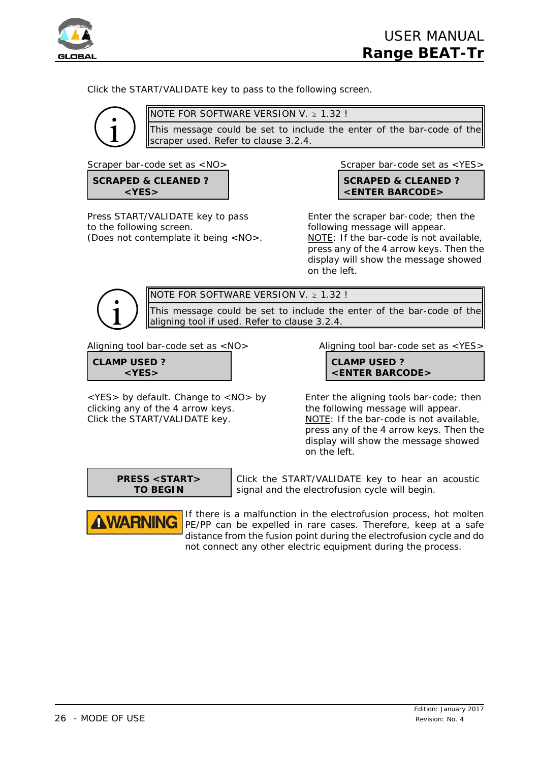![](_page_25_Picture_0.jpeg)

Click the START/VALIDATE key to pass to the following screen.

![](_page_25_Picture_3.jpeg)

NOTE FOR SOFTWARE VERSION V.  $\geq 1.32$ !

This message could be set to include the enter of the bar-code of the scraper used. Refer to clause 3.2.4.

**SCRAPED & CLEANED ? <YES>**

to the following screen. The following message will appear.

*Scraper bar-code set as <NO> Scraper bar-code set as <YES>*

**SCRAPED & CLEANED ? <ENTER BARCODE>**

Press START/VALIDATE key to pass Enter the scraper bar-code; then the (Does not contemplate it being <NO>. NOTE: If the bar-code is not available, press any of the 4 arrow keys. Then the display will show the message showed on the left.

NOTE FOR SOFTWARE VERSION V.  $> 1.32$  !

This message could be set to include the enter of the bar-code of the aligning tool if used. Refer to clause 3.2.4.

| <b>CLAMP USED?</b> |  |
|--------------------|--|
| $<$ YES $>$        |  |

<YES> by default. Change to <NO> by Enter the aligning tools bar-code; then clicking any of the 4 arrow keys. The following message will appear. Click the START/VALIDATE key. NOTE: If the bar-code is not available,

*Aligning tool bar-code set as <NO> Aligning tool bar-code set as <YES>*

**CLAMP USED ? <ENTER BARCODE>**

press any of the 4 arrow keys. Then the display will show the message showed on the left.

![](_page_25_Picture_21.jpeg)

**AWARNING** 

Click the START/VALIDATE key to hear an acoustic signal and the electrofusion cycle will begin.

If there is a malfunction in the electrofusion process, hot molten PE/PP can be expelled in rare cases. Therefore, keep at a safe distance from the fusion point during the electrofusion cycle and do not connect any other electric equipment during the process.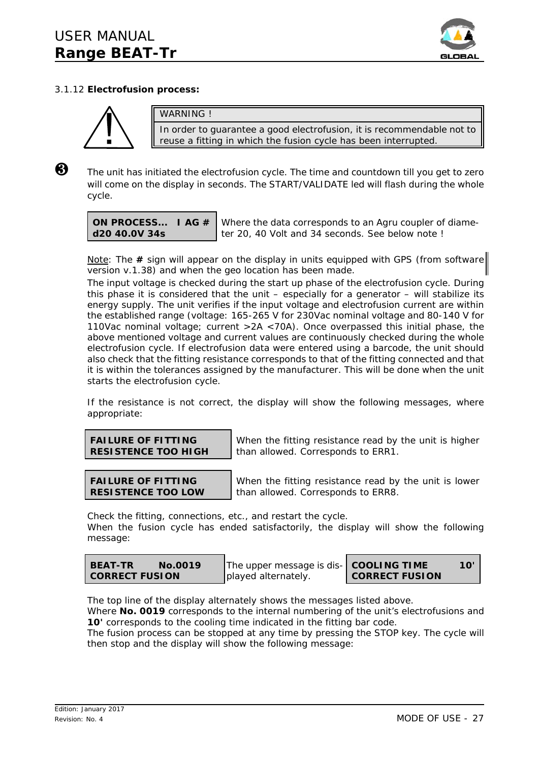![](_page_26_Picture_1.jpeg)

## 3.1.12 **Electrofusion process:**

![](_page_26_Picture_3.jpeg)

WARNING !

In order to guarantee a good electrofusion, it is recommendable not to reuse a fitting in which the fusion cycle has been interrupted.

 $\bigotimes$  The unit has initiated the electrofusion cycle. The time and countdown till you get to zero will come on the display in seconds. The START/VALIDATE led will flash during the whole cycle.

**ON PROCESS... I AG # d20 40.0V 34s**

Where the data corresponds to an Agru coupler of diameter 20, 40 Volt and 34 seconds. See below note !

Note: The **#** sign will appear on the display in units equipped with GPS (from software version v.1.38) and when the geo location has been made.

The input voltage is checked during the start up phase of the electrofusion cycle. During this phase it is considered that the unit – especially for a generator – will stabilize its energy supply. The unit verifies if the input voltage and electrofusion current are within the established range (voltage: 165-265 V for 230Vac nominal voltage and 80-140 V for 110Vac nominal voltage; current >2A <70A). Once overpassed this initial phase, the above mentioned voltage and current values are continuously checked during the whole electrofusion cycle. If electrofusion data were entered using a barcode, the unit should also check that the fitting resistance corresponds to that of the fitting connected and that it is within the tolerances assigned by the manufacturer. This will be done when the unit starts the electrofusion cycle.

If the resistance is not correct, the display will show the following messages, where appropriate:

| <b>FAILURE OF FITTING</b>  |
|----------------------------|
| <b>RESISTENCE TOO HIGH</b> |

When the fitting resistance read by the unit is higher than allowed. Corresponds to ERR1.

| <b>FAILURE OF FITTING</b> |  |
|---------------------------|--|
| <b>RESISTENCE TOO LOW</b> |  |

When the fitting resistance read by the unit is lower than allowed. Corresponds to ERR8.

Check the fitting, connections, etc., and restart the cycle. When the fusion cycle has ended satisfactorily, the display will show the following message:

| The upper message is dis- COOLING TIME<br><b>BEAT-TR</b><br>No.0019<br><b>CORRECT FUSION</b><br>played alternately. | 10'<br><b>CORRECT FUSION</b> |  |
|---------------------------------------------------------------------------------------------------------------------|------------------------------|--|
|---------------------------------------------------------------------------------------------------------------------|------------------------------|--|

The top line of the display alternately shows the messages listed above.

Where **No. 0019** corresponds to the internal numbering of the unit's electrofusions and **10'** corresponds to the cooling time indicated in the fitting bar code.

The fusion process can be stopped at any time by pressing the STOP key. The cycle will then stop and the display will show the following message: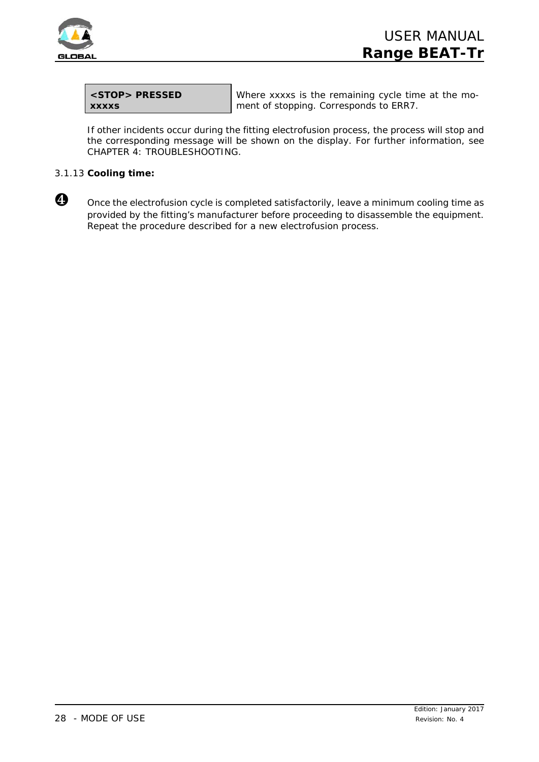![](_page_27_Picture_0.jpeg)

| <stop> PRESSED</stop> |  |
|-----------------------|--|
| <b>XXXXS</b>          |  |

Where xxxxs is the remaining cycle time at the moment of stopping. Corresponds to ERR7.

If other incidents occur during the fitting electrofusion process, the process will stop and the corresponding message will be shown on the display. For further information, see CHAPTER 4: TROUBLESHOOTING.

## 3.1.13 **Cooling time:**

![](_page_27_Picture_6.jpeg)

O once the electrofusion cycle is completed satisfactorily, leave a minimum cooling time as provided by the fitting's manufacturer before proceeding to disassemble the equipment. Repeat the procedure described for a new electrofusion process.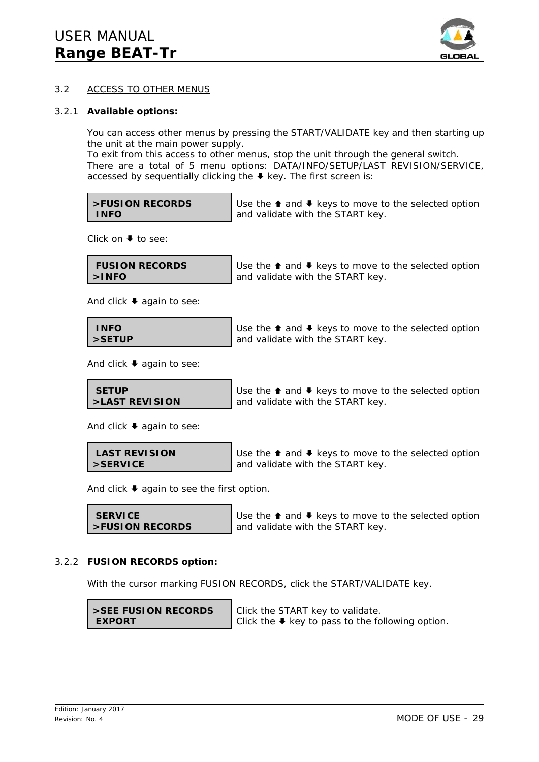![](_page_28_Picture_1.jpeg)

## 3.2 ACCESS TO OTHER MENUS

### 3.2.1 **Available options:**

You can access other menus by pressing the START/VALIDATE key and then starting up the unit at the main power supply.

To exit from this access to other menus, stop the unit through the general switch. There are a total of 5 menu options: DATA/INFO/SETUP/LAST REVISION/SERVICE, accessed by sequentially clicking the  $\blacklozenge$  key. The first screen is:

| >FUSION RECORDS |  |
|-----------------|--|
| INFO            |  |

Use the  $\triangle$  and  $\triangle$  keys to move to the selected option and validate with the START key.

Click on  $\blacktriangleright$  to see:

| <b>FUSION RECORDS</b> | Use the $\triangle$ and $\blacktriangleright$ keys to move to the selected option |
|-----------------------|-----------------------------------------------------------------------------------|
| $>$ INFO              | and validate with the START key.                                                  |

And click  $\blacklozenge$  again to see:

| <b>INFO</b> | $\blacktriangleleft$ Use the $\blacktriangleleft$ and $\blacktriangleright$ keys to move to the selected option |
|-------------|-----------------------------------------------------------------------------------------------------------------|
| l >SETUP    | and validate with the START key.                                                                                |

And click  $\blacklozenge$  again to see:

| <b>SETUP</b>     | -Use |
|------------------|------|
| l >LAST REVISION | and  |

the  $\triangle$  and  $\triangle$  keys to move to the selected option validate with the START key.

And click  $\blacktriangleright$  again to see:

 **LAST REVISION >SERVICE** Use the  $\triangle$  and  $\triangle$  keys to move to the selected option and validate with the START key.

And click  $\blacklozenge$  again to see the first option.

```
 SERVICE
>FUSION RECORDS
```
Use the  $\triangle$  and  $\triangle$  keys to move to the selected option and validate with the START key.

## 3.2.2 **FUSION RECORDS option:**

With the cursor marking FUSION RECORDS, click the START/VALIDATE key.

**>SEE FUSION RECORDS EXPORT**

Click the START key to validate. Click the  $\blacklozenge$  key to pass to the following option.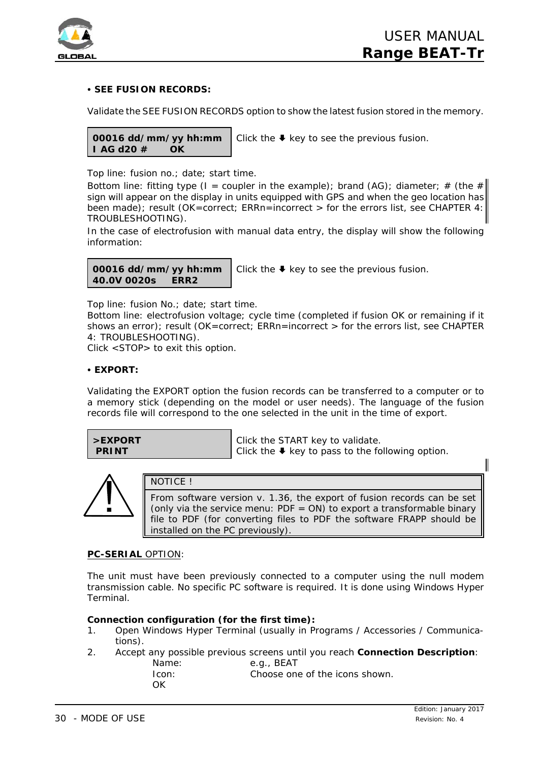![](_page_29_Picture_0.jpeg)

## **• SEE FUSION RECORDS:**

Validate the SEE FUSION RECORDS option to show the latest fusion stored in the memory.

**00016 dd/mm/yy hh:mm I AG d20 # OK** Click the  $\blacklozenge$  key to see the previous fusion.

Top line: fusion no.; date; start time.

Bottom line: fitting type (I = coupler in the example); brand (AG); diameter; # (the # sign will appear on the display in units equipped with GPS and when the geo location has been made); result (OK=correct; ERRn=incorrect > for the errors list, see CHAPTER 4: TROUBLESHOOTING).

In the case of electrofusion with manual data entry, the display will show the following information:

**00016 dd/mm/yy hh:mm 40.0V 0020s ERR2**

Click the  $\blacklozenge$  key to see the previous fusion.

Top line: fusion No.; date; start time.

Bottom line: electrofusion voltage; cycle time (completed if fusion OK or remaining if it shows an error); result (OK=correct; ERRn=incorrect > for the errors list, see CHAPTER 4: TROUBLESHOOTING).

Click <STOP> to exit this option.

### **• EXPORT:**

Validating the EXPORT option the fusion records can be transferred to a computer or to a memory stick (depending on the model or user needs). The language of the fusion records file will correspond to the one selected in the unit in the time of export.

| >EXPORT      |  |
|--------------|--|
| <b>PRINT</b> |  |

Click the START key to validate.

Click the  $\blacklozenge$  key to pass to the following option.

![](_page_29_Picture_18.jpeg)

## NOTICE !

From software version v. 1.36, the export of fusion records can be set (only via the service menu:  $PDF = ON$ ) to export a transformable binary file to PDF (for converting files to PDF the software FRAPP should be installed on the PC previously).

## **PC-SERIAL** OPTION:

The unit must have been previously connected to a computer using the null modem transmission cable. No specific PC software is required. It is done using Windows Hyper Terminal.

## **Connection configuration (for the first time):**

- 1. Open Windows Hyper Terminal (usually in Programs / Accessories / Communications).
- 2. Accept any possible previous screens until you reach **Connection Description**: Name: e.g., BEAT

Icon: Choose one of the icons shown. **OK**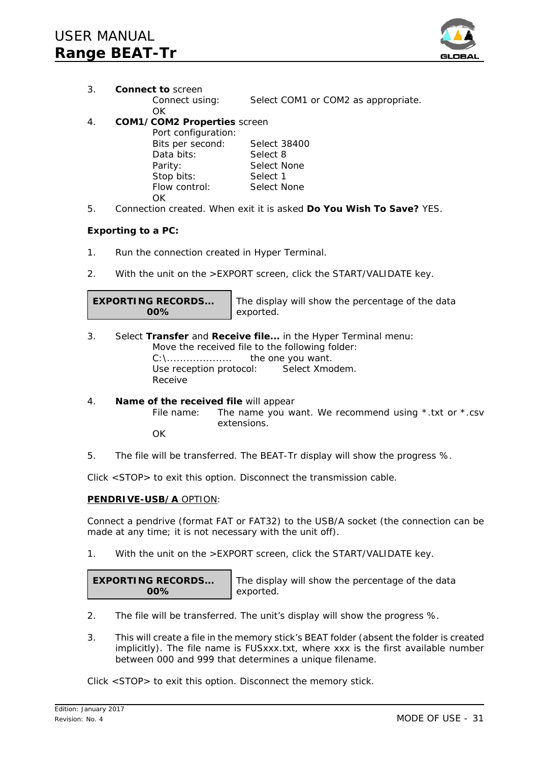![](_page_30_Picture_1.jpeg)

3. **Connect to** screen

Connect using: Select COM1 or COM2 as appropriate.

OK

## 4. **COM1/COM2 Properties** screen

| Port configuration: |              |
|---------------------|--------------|
| Bits per second:    | Select 38400 |
| Data bits:          | Select 8     |
| Parity:             | Select None  |
| Stop bits:          | Select 1     |
| Flow control:       | Select None  |
| OK.                 |              |

5. Connection created. When exit it is asked **Do You Wish To Save?** YES.

## **Exporting to a PC:**

- 1. Run the connection created in Hyper Terminal.
- 2. With the unit on the >EXPORT screen, click the START/VALIDATE key.

**EXPORTING RECORDS... 00%**

The display will show the percentage of the data exported.

- 3. Select **Transfer** and **Receive file...** in the Hyper Terminal menu: Move the received file to the following folder: C:\.................... the one you want. Use reception protocol: Select Xmodem. Receive
- 4. **Name of the received file** will appear File name: The name you want. We recommend using  $*$  txt or  $*$  csv extensions. **OK**
- 5. The file will be transferred. The BEAT-Tr display will show the progress %.

Click <STOP> to exit this option. Disconnect the transmission cable.

## **PENDRIVE-USB/A** OPTION:

Connect a pendrive (format FAT or FAT32) to the USB/A socket (the connection can be made at any time; it is not necessary with the unit off).

1. With the unit on the >EXPORT screen, click the START/VALIDATE key.

**EXPORTING RECORDS... 00%**

The display will show the percentage of the data exported.

- 2. The file will be transferred. The unit's display will show the progress %.
- 3. This will create a file in the memory stick's BEAT folder (absent the folder is created implicitly). The file name is FUSxxx.txt, where xxx is the first available number between 000 and 999 that determines a unique filename.

Click <STOP> to exit this option. Disconnect the memory stick.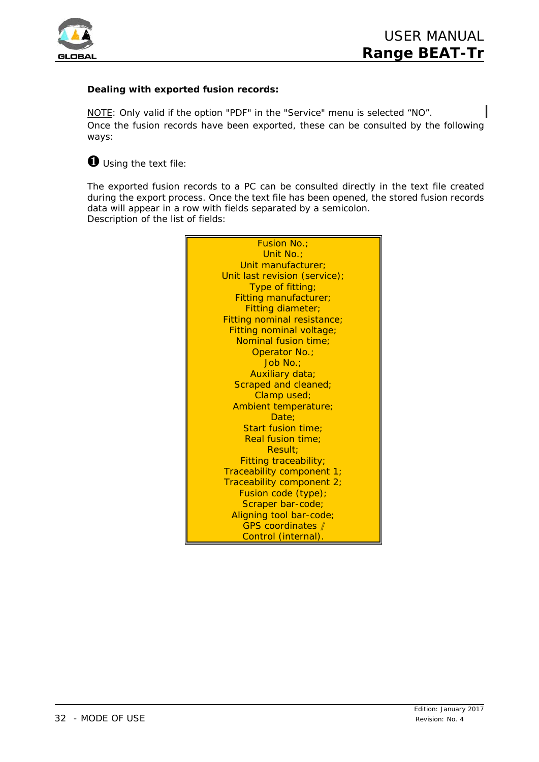![](_page_31_Picture_0.jpeg)

## **Dealing with exported fusion records:**

NOTE: Only valid if the option "PDF" in the "Service" menu is selected "NO". Once the fusion records have been exported, these can be consulted by the following ways:

## Ø *Using the text file:*

The exported fusion records to a PC can be consulted directly in the text file created during the export process. Once the text file has been opened, the stored fusion records data will appear in a row with fields separated by a semicolon. Description of the list of fields:

![](_page_31_Picture_6.jpeg)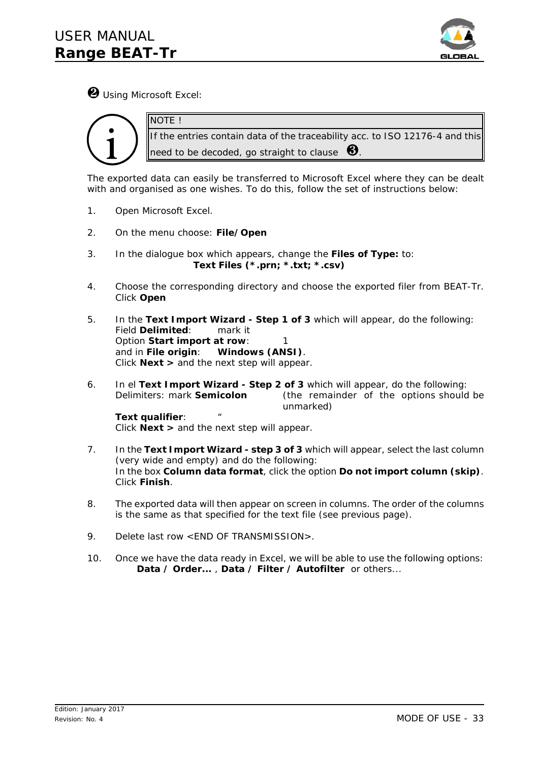![](_page_32_Picture_1.jpeg)

Ù *Using Microsoft Excel:*

NOTE !

![](_page_32_Picture_3.jpeg)

If the entries contain data of the traceability acc. to ISO 12176-4 and this need to be decoded, go straight to clause  $\bigcirc$ 

The exported data can easily be transferred to Microsoft Excel where they can be dealt with and organised as one wishes. To do this, follow the set of instructions below:

- 1. Open Microsoft Excel.
- 2. On the menu choose: *File/Open*
- 3. In the dialogue box which appears, change the *Files of Type:* to: *Text Files (\*.prn; \*.txt; \*.csv)*
- 4. Choose the corresponding directory and choose the exported filer from BEAT-Tr. Click *Open*
- 5. In the *Text Import Wizard Step 1 of 3* which will appear, do the following: Field *Delimited*: mark it Option *Start import at row*: and in *File origin*: **Windows (ANSI)**. Click *Next >* and the next step will appear.
- 6. In el *Text Import Wizard Step 2 of 3* which will appear, do the following: Delimiters: mark *Semicolon* (the remainder of the options should be unmarked)

**Text qualifier:** Click *Next >* and the next step will appear.

- 7. In the *Text Import Wizard step 3 of 3* which will appear, select the last column (very wide and empty) and do the following: In the box **Column data format**, click the option *Do not import column (skip)*. Click *Finish*.
- 8. The exported data will then appear on screen in columns. The order of the columns is the same as that specified for the text file (see previous page).
- 9. Delete last row <END OF TRANSMISSION>.
- 10. Once we have the data ready in Excel, we will be able to use the following options: *Data / Order...* , *Data / Filter / Autofilter* or others...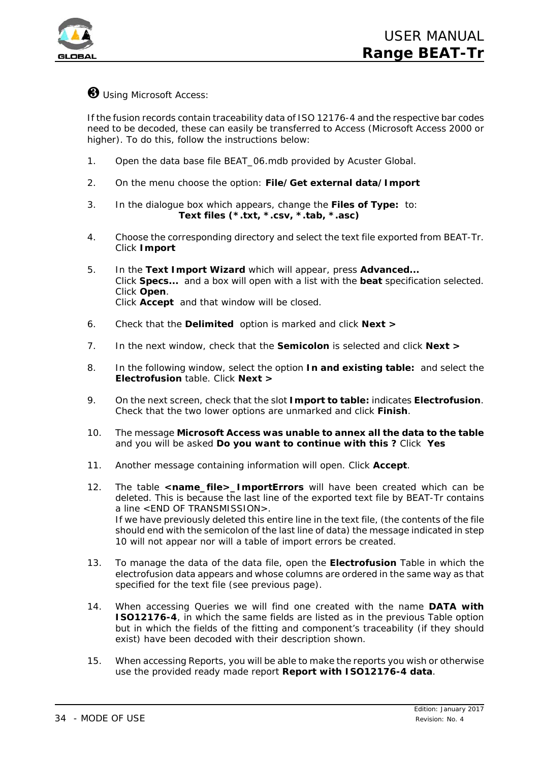![](_page_33_Picture_0.jpeg)

## Ú *Using Microsoft Access:*

If the fusion records contain traceability data of ISO 12176-4 and the respective bar codes need to be decoded, these can easily be transferred to Access (Microsoft Access 2000 or higher). To do this, follow the instructions below:

- 1. Open the data base file BEAT\_06.mdb *provided by Acuster Global.*
- 2. On the menu choose the option: *File/Get external data/Import*
- 3. In the dialogue box which appears, change the *Files of Type:* to: *Text files (\*.txt, \*.csv, \*.tab, \*.asc)*
- 4. Choose the corresponding directory and select the text file exported from BEAT-Tr. Click *Import*
- 5. In the *Text Import Wizard* which will appear, press *Advanced...* Click *Specs...* and a box will open with a list with the *beat* specification selected. Click *Open*. Click *Accept* and that window will be closed.
- 6. Check that the *Delimited* option is marked and click *Next >*
- 7. In the next window, check that the *Semicolon* is selected and click *Next >*
- 8. In the following window, select the option *In and existing table:* and select the *Electrofusion* table. Click *Next >*
- 9. On the next screen, check that the slot *Import to table:* indicates *Electrofusion*. Check that the two lower options are unmarked and click *Finish*.
- 10. The message *Microsoft Access was unable to annex all the data to the table* and you will be asked **Do you want to continue with this ?** Click *Yes*
- 11. Another message containing information will open. Click *Accept*.
- 12. The table *<name\_file>\_ImportErrors* will have been created which can be deleted. This is because the last line of the exported text file by BEAT-Tr contains a line <END OF TRANSMISSION>. If we have previously deleted this entire line in the text file, (the contents of the file should end with the semicolon of the last line of data) the message indicated in step 10 will not appear nor will a table of import errors be created.
- 13. To manage the data of the data file, open the *Electrofusion* Table in which the electrofusion data appears and whose columns are ordered in the same way as that specified for the text file (see previous page).
- 14. When accessing Queries we will find one created with the name **DATA with ISO12176-4**, in which the same fields are listed as in the previous Table option but in which the fields of the fitting and component's traceability (if they should exist) have been decoded with their description shown.
- 15. When accessing Reports, you will be able to make the reports you wish or otherwise use the provided ready made report **Report with ISO12176-4 data**.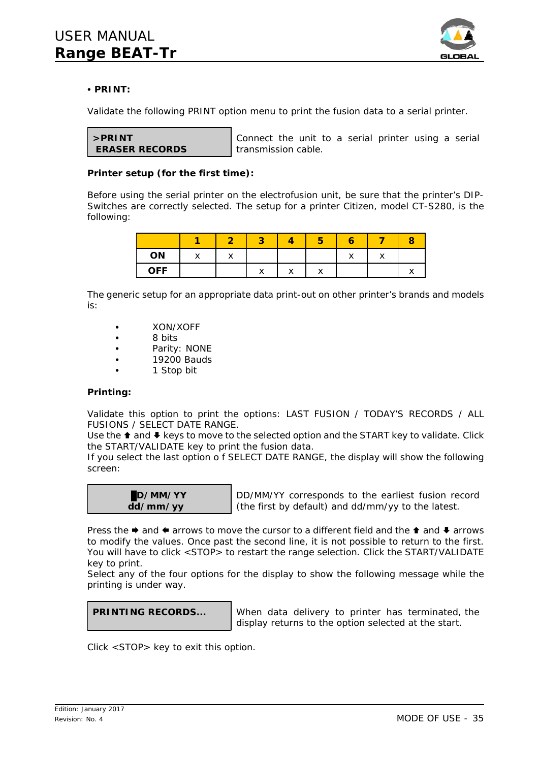![](_page_34_Picture_1.jpeg)

## C **PRINT:**

Validate the following PRINT option menu to print the fusion data to a serial printer.

| >PRINT                |  |
|-----------------------|--|
| <b>ERASER RECORDS</b> |  |

Connect the unit to a serial printer using a serial transmission cable.

## **Printer setup (for the first time):**

Before using the serial printer on the electrofusion unit, be sure that the printer's *DIP-Switches* are correctly selected. The setup for a printer Citizen, model CT-S280, is the following:

| ON         | $\cdot$ | $\lambda$ |         |  | $\checkmark$ |                      |
|------------|---------|-----------|---------|--|--------------|----------------------|
| <b>OFF</b> |         |           | $\cdot$ |  |              | $\ddot{\phantom{1}}$ |

The generic setup for an appropriate data print-out on other printer's brands and models is:

- XON/XOFF
- 8 bits
- Parity: NONE
- 19200 Bauds
- 1 Stop bit

## **Printing:**

Validate this option to print the options: LAST FUSION / TODAY'S RECORDS / ALL FUSIONS / SELECT DATE RANGE.

Use the  $\triangle$  and  $\blacklozenge$  keys to move to the selected option and the START key to validate. Click the START/VALIDATE key to print the fusion data.

If you select the last option o f SELECT DATE RANGE, the display will show the following screen:

![](_page_34_Picture_19.jpeg)

DD/MM/YY corresponds to the earliest fusion record (the first by default) and dd/mm/yy to the latest.

Press the  $\rightarrow$  and  $\leftarrow$  arrows to move the cursor to a different field and the  $\uparrow$  and  $\downarrow$  arrows to modify the values. Once past the second line, it is not possible to return to the first. You will have to click <STOP> to restart the range selection. Click the START/VALIDATE key to print.

Select any of the four options for the display to show the following message while the printing is under way.

![](_page_34_Picture_23.jpeg)

**PRINTING RECORDS...** When data delivery to printer has terminated, the display returns to the option selected at the start.

Click <STOP> key to exit this option.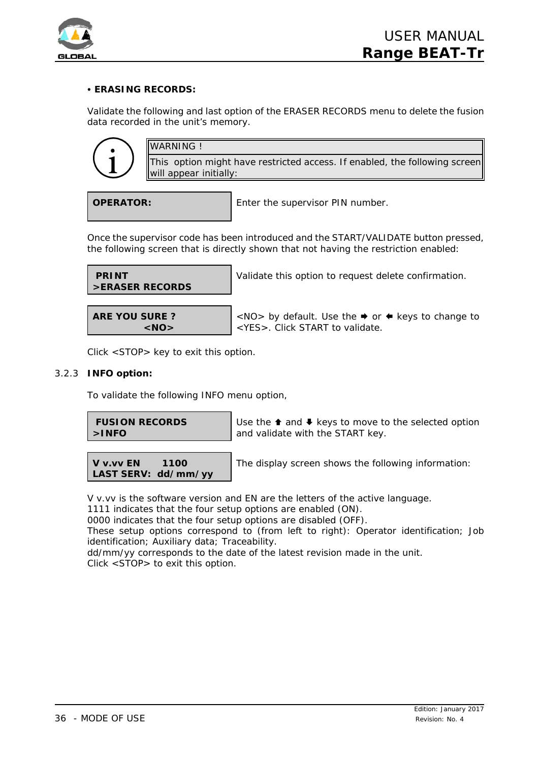![](_page_35_Picture_0.jpeg)

## C **ERASING RECORDS:**

Validate the following and last option of the ERASER RECORDS menu to delete the fusion data recorded in the unit's memory.

![](_page_35_Picture_4.jpeg)

**OPERATOR:** Enter the supervisor PIN number.

Once the supervisor code has been introduced and the START/VALIDATE button pressed, the following screen that is directly shown that not having the restriction enabled:

 **PRINT >ERASER RECORDS**

Validate this option to request delete confirmation.

**ARE YOU SURE ? <NO>**

<NO> by default. Use the  $\rightarrow$  or  $\leftarrow$  keys to change to <YES>. Click START to validate.

Click <STOP> key to exit this option.

## 3.2.3 **INFO option:**

To validate the following INFO menu option,

| <b>FUSION RECORDS</b> |  |
|-----------------------|--|
| $>$ INFO              |  |

Use the  $\triangle$  and  $\triangle$  keys to move to the selected option and validate with the START key.

| V v.vv EN           | 1100 |
|---------------------|------|
| LAST SERV: dd/mm/yy |      |

The display screen shows the following information:

V v.vv is the software version and EN are the letters of the active language.

1111 indicates that the four setup options are enabled (ON).

0000 indicates that the four setup options are disabled (OFF).

These setup options correspond to (from left to right): Operator identification; Job identification; Auxiliary data; Traceability.

dd/mm/yy corresponds to the date of the latest revision made in the unit. Click <STOP> to exit this option.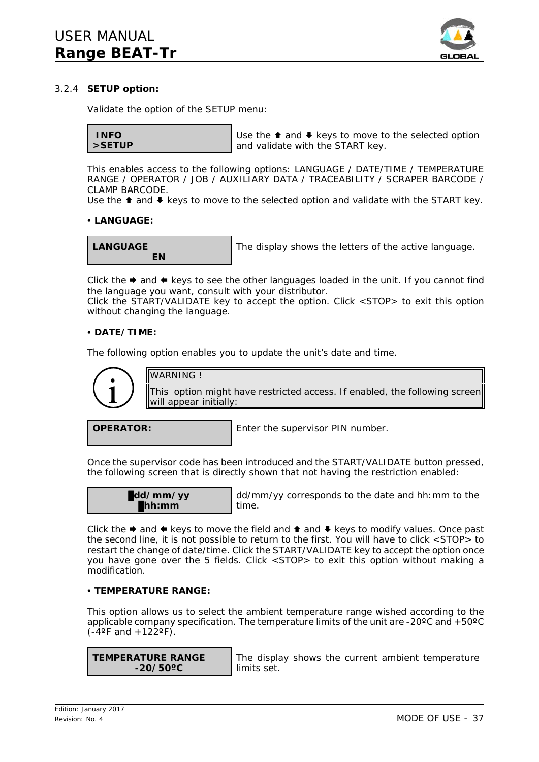![](_page_36_Picture_1.jpeg)

## 3.2.4 **SETUP option:**

Validate the option of the SETUP menu:

```
 INFO
>SETUP
```
Use the  $\triangle$  and  $\triangle$  keys to move to the selected option and validate with the START key.

This enables access to the following options: LANGUAGE / DATE/TIME / TEMPERATURE RANGE / OPERATOR / JOB / AUXILIARY DATA / TRACEABILITY / SCRAPER BARCODE / CLAMP BARCODE.

Use the  $\triangle$  and  $\triangle$  keys to move to the selected option and validate with the START key.

### **• LANGUAGE:**

**LANGUAGE EN**

The display shows the letters of the active language.

Click the  $\rightarrow$  and  $\leftarrow$  keys to see the other languages loaded in the unit. If you cannot find the language you want, consult with your distributor.

Click the START/VALIDATE key to accept the option. Click <STOP> to exit this option without changing the language.

## C **DATE/TIME:**

The following option enables you to update the unit's date and time.

![](_page_36_Picture_15.jpeg)

**OPERATOR:** Enter the supervisor PIN number.

Once the supervisor code has been introduced and the START/VALIDATE button pressed, the following screen that is directly shown that not having the restriction enabled:

| dd/mm/yy             |  |
|----------------------|--|
| $\blacksquare$ hh:mm |  |

dd/mm/yy corresponds to the date and hh:mm to the time.

Click the  $\rightarrow$  and  $\leftarrow$  keys to move the field and  $\rightarrow$  and  $\rightarrow$  keys to modify values. Once past the second line, it is not possible to return to the first. You will have to click <STOP> to restart the change of date/time. Click the START/VALIDATE key to accept the option once you have gone over the 5 fields. Click <STOP> to exit this option without making a modification.

## C **TEMPERATURE RANGE:**

This option allows us to select the ambient temperature range wished according to the applicable company specification. The temperature limits of the unit are -20 $\degree$ C and +50 $\degree$ C  $(-4^{\circ}$ F and  $+122^{\circ}$ F).

**TEMPERATURE RANGE -20/50ºC**

The display shows the current ambient temperature limits set.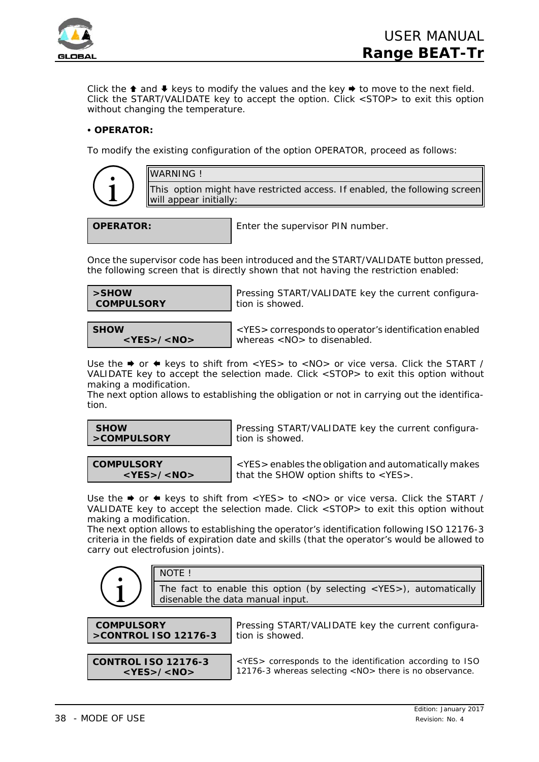![](_page_37_Picture_0.jpeg)

Click the  $\triangle$  and  $\blacktriangleright$  keys to modify the values and the key  $\blacktriangleright$  to move to the next field. Click the START/VALIDATE key to accept the option. Click <STOP> to exit this option without changing the temperature.

## **• OPERATOR:**

To modify the existing configuration of the option OPERATOR, proceed as follows:

|   |   | \ |
|---|---|---|
|   | D |   |
|   | ۹ |   |
| \ |   | 1 |
|   |   |   |

This option might have restricted access. If enabled, the following screen will appear initially:

WARNING !

**OPERATOR:** Enter the supervisor PIN number.

Once the supervisor code has been introduced and the START/VALIDATE button pressed, the following screen that is directly shown that not having the restriction enabled:

| >SHOW<br><b>COMPULSORY</b> | Pressing START/VALIDATE key the current configura-<br>tion is showed. |
|----------------------------|-----------------------------------------------------------------------|
|                            |                                                                       |
| <b>SHOW</b>                | <yes> corresponds to operator's identification enabled</yes>          |

whereas <NO> to disenabled.

Use the  $\rightarrow$  or  $\leftarrow$  keys to shift from <YES> to <NO> or vice versa. Click the START / VALIDATE key to accept the selection made. Click <STOP> to exit this option without making a modification.

The next option allows to establishing the obligation or not in carrying out the identification.

| <b>SHOW</b> |  |
|-------------|--|
| >COMPULSORY |  |

Pressing START/VALIDATE key the current configuration is showed.

**COMPULSORY <YES>/<NO>**

**<YES>/<NO>**

<YES> enables the obligation and automatically makes that the SHOW option shifts to <YES>.

Use the  $\rightarrow$  or  $\leftarrow$  keys to shift from <YES> to <NO> or vice versa. Click the START / VALIDATE key to accept the selection made. Click <STOP> to exit this option without making a modification.

The next option allows to establishing the operator's identification following ISO 12176-3 criteria in the fields of expiration date and skills (that the operator's would be allowed to carry out electrofusion joints).

|                                           | NOTE !                                                                                                    |                                                                                                                                |  |  |
|-------------------------------------------|-----------------------------------------------------------------------------------------------------------|--------------------------------------------------------------------------------------------------------------------------------|--|--|
|                                           | The fact to enable this option (by selecting <yes>), automatically disenable the data manual input.</yes> |                                                                                                                                |  |  |
| <b>COMPULSORY</b><br>>CONTROL ISO 12176-3 |                                                                                                           | Pressing START/VALIDATE key the current configura-<br>tion is showed.                                                          |  |  |
|                                           |                                                                                                           |                                                                                                                                |  |  |
| <b>CONTROL ISO 12176-3</b>                | $<$ YES>/ <no></no>                                                                                       | <yes> corresponds to the identification according to ISO<br/>12176-3 whereas selecting <no> there is no observance.</no></yes> |  |  |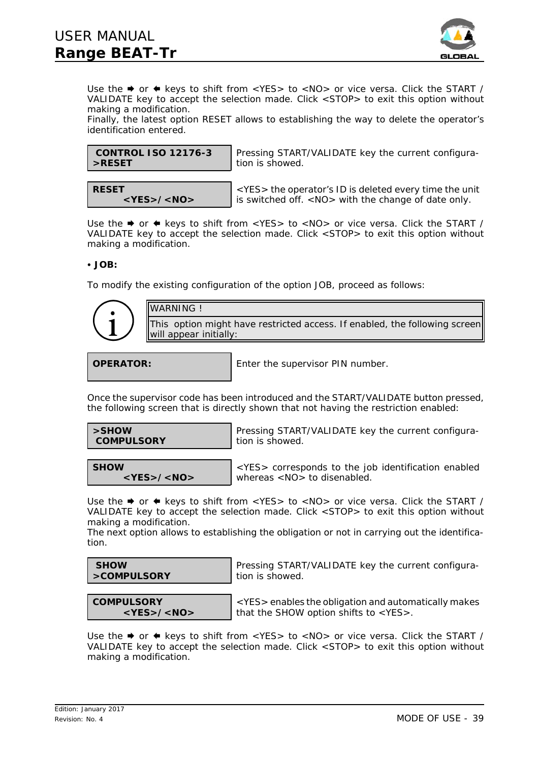![](_page_38_Picture_1.jpeg)

Use the  $\rightarrow$  or  $\leftarrow$  keys to shift from <YES> to <NO> or vice versa. Click the START / VALIDATE key to accept the selection made. Click <STOP> to exit this option without making a modification.

Finally, the latest option RESET allows to establishing the way to delete the operator's identification entered.

| CONTROL ISO 12176-3 |  |
|---------------------|--|
| >RESET              |  |

**<YES>/<NO>**

Pressing START/VALIDATE key the current configuration is showed.

<YES> the operator's ID is deleted every time the unit is switched off. <NO> with the change of date only.

Use the  $\rightarrow$  or  $\leftarrow$  keys to shift from <YES> to <NO> or vice versa. Click the START / VALIDATE key to accept the selection made. Click <STOP> to exit this option without making a modification.

C **JOB:**

**RESET**

To modify the existing configuration of the option JOB, proceed as follows:

| <b>WARNING!</b>                                                                                      |
|------------------------------------------------------------------------------------------------------|
| This option might have restricted access. If enabled, the following screen<br>will appear initially: |

**OPERATOR:** Enter the supervisor PIN number.

Once the supervisor code has been introduced and the START/VALIDATE button pressed, the following screen that is directly shown that not having the restriction enabled:

**>SHOW COMPULSORY**

**<YES>/<NO>**

**SHOW**

Pressing START/VALIDATE key the current configuration is showed.

<YES> corresponds to the job identification enabled whereas <NO> to disenabled.

Use the  $\rightarrow$  or  $\leftarrow$  keys to shift from <YES> to <NO> or vice versa. Click the START / VALIDATE key to accept the selection made. Click <STOP> to exit this option without making a modification.

The next option allows to establishing the obligation or not in carrying out the identification.

| <b>SHOW</b> |  |
|-------------|--|
| >COMPULSORY |  |

Pressing START/VALIDATE key the current configuration is showed.

**COMPULSORY <YES>/<NO>**

<YES> enables the obligation and automatically makes that the SHOW option shifts to <YES>.

Use the  $\rightarrow$  or  $\leftarrow$  keys to shift from <YES> to <NO> or vice versa. Click the START / VALIDATE key to accept the selection made. Click <STOP> to exit this option without making a modification.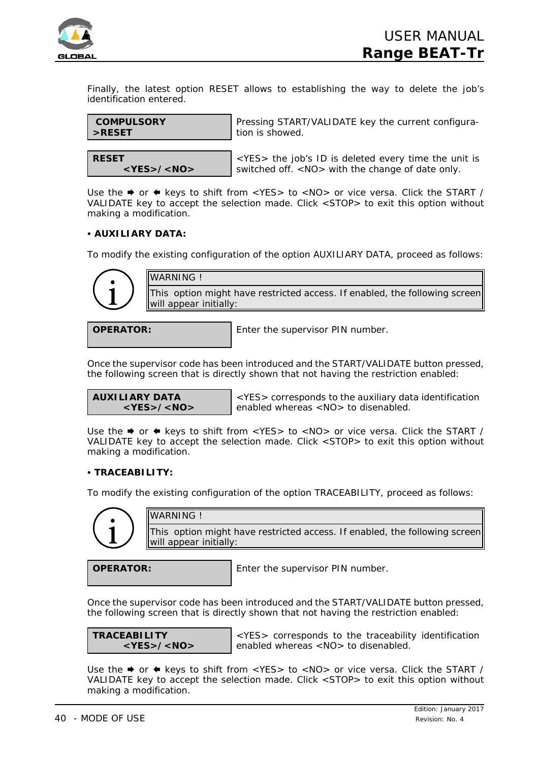![](_page_39_Picture_0.jpeg)

Finally, the latest option RESET allows to establishing the way to delete the job's identification entered.

![](_page_39_Figure_3.jpeg)

**RESET <YES>/<NO>**

<YES> the job's ID is deleted every time the unit is switched off. <NO> with the change of date only.

Use the  $\rightarrow$  or  $\leftarrow$  keys to shift from <YES> to <NO> or vice versa. Click the START / VALIDATE key to accept the selection made. Click <STOP> to exit this option without making a modification.

## C **AUXILIARY DATA:**

To modify the existing configuration of the option AUXILIARY DATA, proceed as follows:

![](_page_39_Picture_9.jpeg)

WARNING ! This option might have restricted access. If enabled, the following screen will appear initially:

**OPERATOR:** Enter the supervisor PIN number.

Once the supervisor code has been introduced and the START/VALIDATE button pressed, the following screen that is directly shown that not having the restriction enabled:

**AUXILIARY DATA <YES>/<NO>**

<YES> corresponds to the auxiliary data identification enabled whereas <NO> to disenabled.

Use the  $\rightarrow$  or  $\leftarrow$  keys to shift from <YES> to <NO> or vice versa. Click the START / VALIDATE key to accept the selection made. Click <STOP> to exit this option without making a modification.

## C **TRACEABILITY:**

WARNING !

To modify the existing configuration of the option TRACEABILITY, proceed as follows:

![](_page_39_Picture_19.jpeg)

This option might have restricted access. If enabled, the following screen will appear initially:

**OPERATOR:** Enter the supervisor PIN number.

Once the supervisor code has been introduced and the START/VALIDATE button pressed, the following screen that is directly shown that not having the restriction enabled:

**TRACEABILITY <YES>/<NO>**

<YES> corresponds to the traceability identification enabled whereas <NO> to disenabled.

Use the  $\rightarrow$  or  $\leftarrow$  keys to shift from <YES> to <NO> or vice versa. Click the START / VALIDATE key to accept the selection made. Click <STOP> to exit this option without making a modification.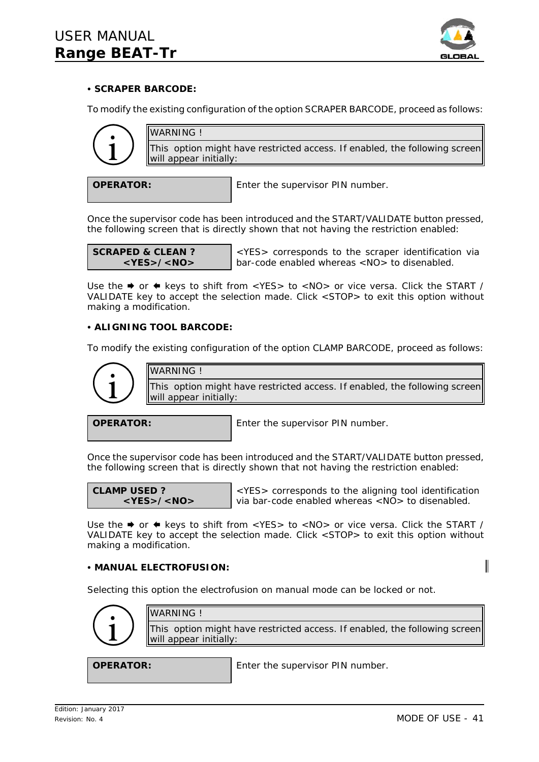![](_page_40_Picture_1.jpeg)

## C **SCRAPER BARCODE:**

To modify the existing configuration of the option SCRAPER BARCODE, proceed as follows:

![](_page_40_Picture_4.jpeg)

**OPERATOR:** Enter the supervisor PIN number.

Once the supervisor code has been introduced and the START/VALIDATE button pressed, the following screen that is directly shown that not having the restriction enabled:

**SCRAPED & CLEAN ? <YES>/<NO>**

<YES> corresponds to the scraper identification via bar-code enabled whereas <NO> to disenabled.

Use the  $\rightarrow$  or  $\leftarrow$  keys to shift from <YES> to <NO> or vice versa. Click the START / VALIDATE key to accept the selection made. Click <STOP> to exit this option without making a modification.

## **• ALIGNING TOOL BARCODE:**

To modify the existing configuration of the option CLAMP BARCODE, proceed as follows:

![](_page_40_Picture_13.jpeg)

**OPERATOR:** Enter the supervisor PIN number.

Once the supervisor code has been introduced and the START/VALIDATE button pressed, the following screen that is directly shown that not having the restriction enabled:

**CLAMP USED ? <YES>/<NO>**

<YES> corresponds to the aligning tool identification via bar-code enabled whereas <NO> to disenabled.

Use the  $\rightarrow$  or  $\leftarrow$  keys to shift from <YES> to <NO> or vice versa. Click the START / VALIDATE key to accept the selection made. Click <STOP> to exit this option without making a modification.

## C **MANUAL ELECTROFUSION:**

Selecting this option the electrofusion on manual mode can be locked or not.

![](_page_40_Figure_22.jpeg)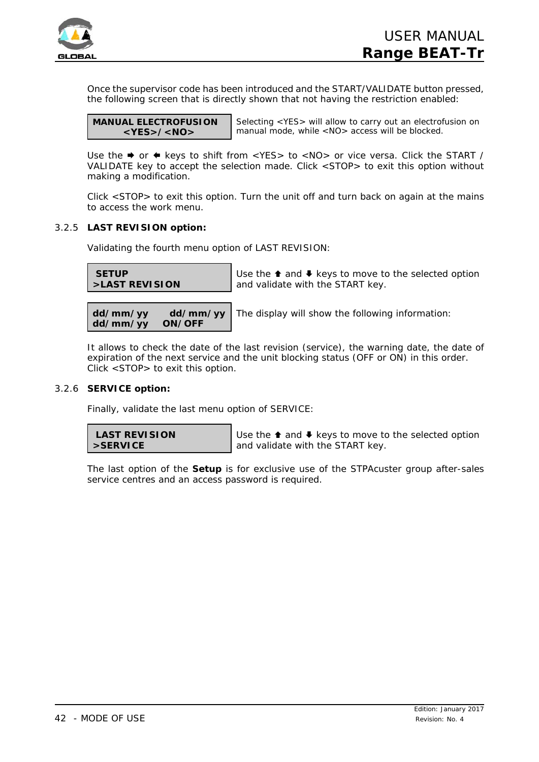![](_page_41_Picture_0.jpeg)

Once the supervisor code has been introduced and the START/VALIDATE button pressed, the following screen that is directly shown that not having the restriction enabled:

| <b>MANUAL ELECTROFUSION</b> |
|-----------------------------|
| $<$ YES>/ <no></no>         |

Selecting <YES> will allow to carry out an electrofusion on manual mode, while <NO> access will be blocked.

Use the  $\rightarrow$  or  $\leftarrow$  keys to shift from <YES> to <NO> or vice versa. Click the START / VALIDATE key to accept the selection made. Click <STOP> to exit this option without making a modification.

Click <STOP> to exit this option. Turn the unit off and turn back on again at the mains to access the work menu.

## 3.2.5 **LAST REVISION option:**

Validating the fourth menu option of LAST REVISION:

| <b>SETUP</b>                               | Use the $\triangle$ and $\triangle$ keys to move to the selected option |
|--------------------------------------------|-------------------------------------------------------------------------|
| >LAST REVISION                             | and validate with the START key.                                        |
| dd/mm/yy<br>dd/mm/yy<br>dd/mm/yy<br>ON/OFF | The display will show the following information:                        |

It allows to check the date of the last revision (service), the warning date, the date of expiration of the next service and the unit blocking status (OFF or ON) in this order. Click <STOP> to exit this option.

## 3.2.6 **SERVICE option:**

Finally, validate the last menu option of SERVICE:

| <b>LAST REVISION</b> |
|----------------------|
| $>$ SERVICE          |

Use the  $\triangle$  and  $\triangle$  keys to move to the selected option and validate with the START key.

The last option of the **Setup** is for exclusive use of the STPAcuster group after-sales service centres and an access password is required.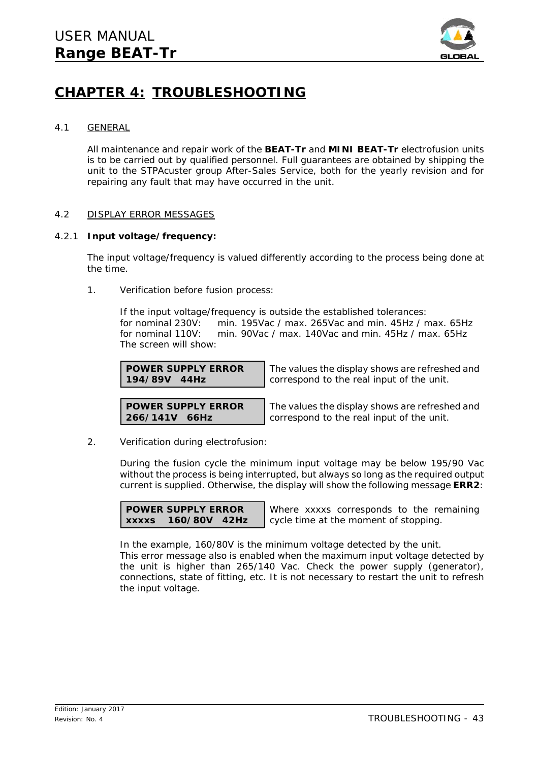![](_page_42_Picture_1.jpeg)

## **CHAPTER 4: TROUBLESHOOTING**

## 4.1 GENERAL

All maintenance and repair work of the **BEAT-Tr** and **MINI BEAT-Tr** electrofusion units is to be carried out by qualified personnel. Full guarantees are obtained by shipping the unit to the STPAcuster group After-Sales Service, both for the yearly revision and for repairing any fault that may have occurred in the unit.

## 4.2 DISPLAY ERROR MESSAGES

## 4.2.1 **Input voltage/frequency:**

The input voltage/frequency is valued differently according to the process being done at the time.

1. *Verification before fusion process:*

If the input voltage/frequency is outside the established tolerances: for nominal 230V: min. 195Vac / max. 265Vac and min. 45Hz / max. 65Hz for nominal 110V: min. 90Vac / max. 140Vac and min. 45Hz / max. 65Hz The screen will show:

**POWER SUPPLY ERROR 194/89V 44Hz**

The values the display shows are refreshed and correspond to the real input of the unit.

**POWER SUPPLY ERROR 266/141V 66Hz**

The values the display shows are refreshed and correspond to the real input of the unit.

2. *Verification during electrofusion:*

During the fusion cycle the minimum input voltage may be below 195/90 Vac without the process is being interrupted, but always so long as the required output current is supplied. Otherwise, the display will show the following message **ERR2**:

**POWER SUPPLY ERROR xxxxs 160/80V 42Hz**

Where xxxxs corresponds to the remaining cycle time at the moment of stopping.

In the example, 160/80V is the minimum voltage detected by the unit. This error message also is enabled when the maximum input voltage detected by the unit is higher than 265/140 Vac. Check the power supply (generator), connections, state of fitting, etc. It is not necessary to restart the unit to refresh the input voltage.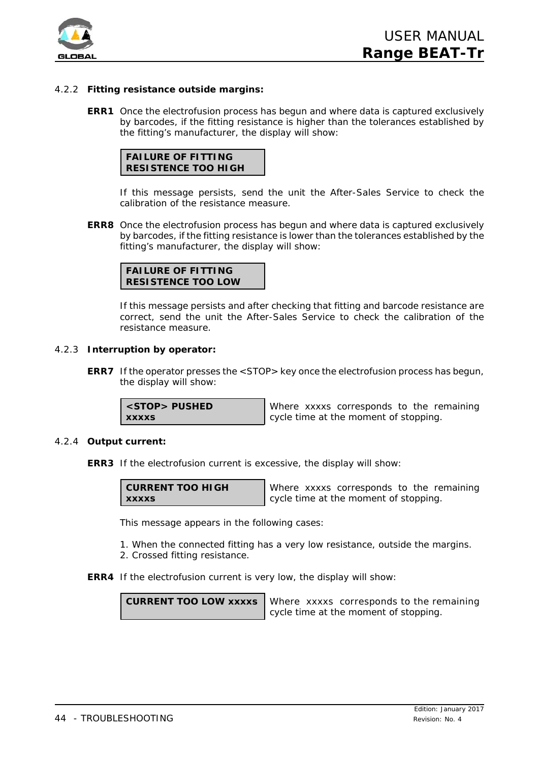![](_page_43_Picture_0.jpeg)

## 4.2.2 **Fitting resistance outside margins:**

**ERR1** Once the electrofusion process has begun and where data is captured exclusively by barcodes, if the fitting resistance is higher than the tolerances established by the fitting's manufacturer, the display will show:

![](_page_43_Picture_4.jpeg)

If this message persists, send the unit the After-Sales Service to check the calibration of the resistance measure.

**ERR8** Once the electrofusion process has begun and where data is captured exclusively by barcodes, if the fitting resistance is lower than the tolerances established by the fitting's manufacturer, the display will show:

![](_page_43_Picture_7.jpeg)

If this message persists and after checking that fitting and barcode resistance are correct, send the unit the After-Sales Service to check the calibration of the resistance measure.

#### 4.2.3 **Interruption by operator:**

**ERR7** If the operator presses the <STOP> key once the electrofusion process has begun, the display will show:

**<STOP> PUSHED xxxxs**

Where xxxxs corresponds to the remaining cycle time at the moment of stopping.

#### 4.2.4 **Output current:**

**ERR3** If the electrofusion current is excessive, the display will show:

| <b>CURRENT TOO HIGH</b> |  |
|-------------------------|--|
| <b>XXXXS</b>            |  |

Where xxxxs corresponds to the remaining cycle time at the moment of stopping.

This message appears in the following cases:

- 1. When the connected fitting has a very low resistance, outside the margins. 2. Crossed fitting resistance.
- **ERR4** If the electrofusion current is very low, the display will show:

**CURRENT TOO LOW xxxxs** Where xxxxs corresponds to the remaining cycle time at the moment of stopping.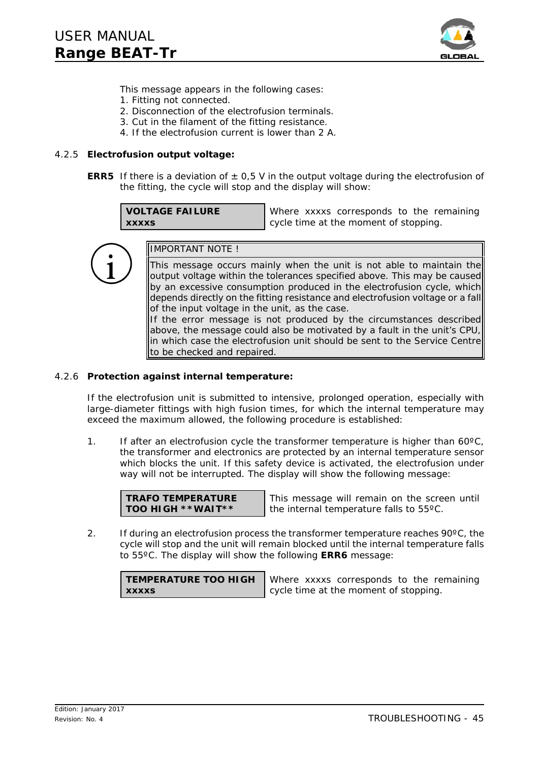![](_page_44_Picture_1.jpeg)

This message appears in the following cases:

- 1. Fitting not connected.
- 2. Disconnection of the electrofusion terminals.
- 3. Cut in the filament of the fitting resistance.
- 4. If the electrofusion current is lower than 2 A.

### 4.2.5 **Electrofusion output voltage:**

**ERR5** If there is a deviation of  $\pm 0.5$  V in the output voltage during the electrofusion of the fitting, the cycle will stop and the display will show:

**VOLTAGE FAILURE xxxxs**

Where xxxxs corresponds to the remaining cycle time at the moment of stopping.

![](_page_44_Picture_11.jpeg)

## IMPORTANT NOTE !

This message occurs mainly when the unit is not able to maintain the output voltage within the tolerances specified above. This may be caused by an excessive consumption produced in the electrofusion cycle, which depends directly on the fitting resistance and electrofusion voltage or a fall of the input voltage in the unit, as the case.

If the error message is not produced by the circumstances described above, the message could also be motivated by a fault in the unit's CPU, in which case the electrofusion unit should be sent to the Service Centre to be checked and repaired.

### 4.2.6 **Protection against internal temperature:**

If the electrofusion unit is submitted to intensive, prolonged operation, especially with large-diameter fittings with high fusion times, for which the internal temperature may exceed the maximum allowed, the following procedure is established:

1. If after an electrofusion cycle the transformer temperature is higher than 60ºC, the transformer and electronics are protected by an internal temperature sensor which blocks the unit. If this safety device is activated, the electrofusion under way will not be interrupted. The display will show the following message:

**TRAFO TEMPERATURE TOO HIGH \*\*WAIT\*\***

This message will remain on the screen until the internal temperature falls to 55ºC.

2. If during an electrofusion process the transformer temperature reaches  $90^{\circ}$ C, the cycle will stop and the unit will remain blocked until the internal temperature falls to 55ºC. The display will show the following **ERR6** message:

**TEMPERATURE TOO HIGH xxxxs**

Where xxxxs corresponds to the remaining cycle time at the moment of stopping.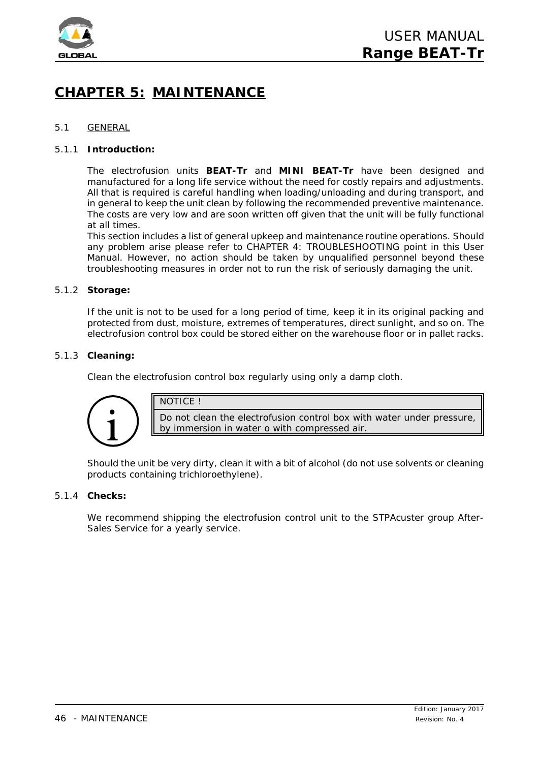![](_page_45_Picture_0.jpeg)

## **CHAPTER 5: MAINTENANCE**

## 5.1 GENERAL

## 5.1.1 **Introduction:**

The electrofusion units **BEAT-Tr** and **MINI BEAT-Tr** have been designed and manufactured for a long life service without the need for costly repairs and adjustments. All that is required is careful handling when loading/unloading and during transport, and in general to keep the unit clean by following the recommended preventive maintenance. The costs are very low and are soon written off given that the unit will be fully functional at all times.

This section includes a list of general upkeep and maintenance routine operations. Should any problem arise please refer to CHAPTER 4: TROUBLESHOOTING point in this *User Manual*. However, no action should be taken by unqualified personnel beyond these troubleshooting measures in order not to run the risk of seriously damaging the unit.

## 5.1.2 **Storage:**

If the unit is not to be used for a long period of time, keep it in its original packing and protected from dust, moisture, extremes of temperatures, direct sunlight, and so on. The electrofusion control box could be stored either on the warehouse floor or in pallet racks.

## 5.1.3 **Cleaning:**

Clean the electrofusion control box regularly using only a damp cloth.

![](_page_45_Picture_11.jpeg)

NOTICE !

Do not clean the electrofusion control box with water under pressure, by immersion in water o with compressed air.

Should the unit be very dirty, clean it with a bit of alcohol (do not use solvents or cleaning products containing trichloroethylene).

## 5.1.4 **Checks:**

We recommend shipping the electrofusion control unit to the STPAcuster group After-Sales Service for a yearly service.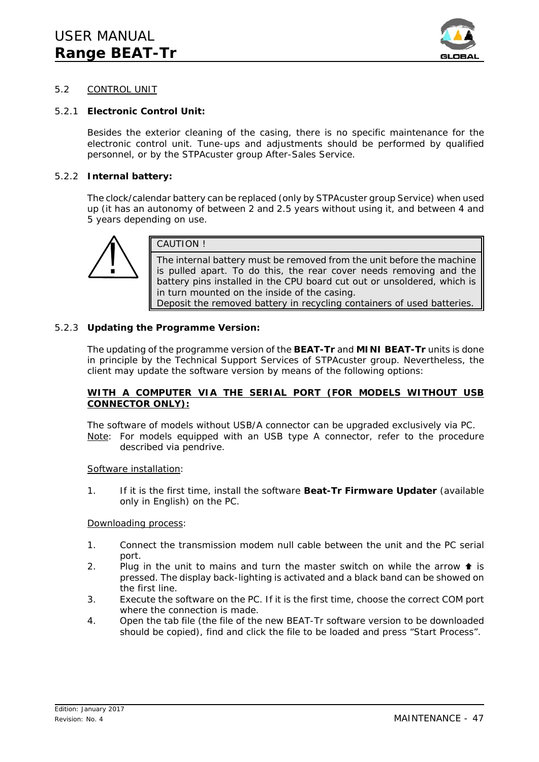![](_page_46_Picture_1.jpeg)

## 5.2 CONTROL UNIT

## 5.2.1 **Electronic Control Unit:**

Besides the exterior cleaning of the casing, there is no specific maintenance for the electronic control unit. Tune-ups and adjustments should be performed by qualified personnel, or by the STPAcuster group After-Sales Service.

## 5.2.2 **Internal battery:**

The clock/calendar battery can be replaced (only by STPAcuster group Service) when used up (it has an autonomy of between 2 and 2.5 years without using it, and between 4 and 5 years depending on use.

![](_page_46_Picture_7.jpeg)

CAUTION !

The internal battery must be removed from the unit before the machine is pulled apart. To do this, the rear cover needs removing and the battery pins installed in the CPU board cut out or unsoldered, which is in turn mounted on the inside of the casing. Deposit the removed battery in recycling containers of used batteries.

## 5.2.3 **Updating the Programme Version:**

The updating of the programme version of the **BEAT-Tr** and **MINI BEAT-Tr** units is done in principle by the Technical Support Services of STPAcuster group. Nevertheless, the client may update the software version by means of the following options:

## **WITH A COMPUTER VIA THE SERIAL PORT (FOR MODELS WITHOUT USB CONNECTOR ONLY):**

The software of models without USB/A connector can be upgraded exclusively via PC. Note: For models equipped with an USB type A connector, refer to the procedure described via pendrive.

## *Software installation:*

1. If it is the first time, install the software **Beat-Tr Firmware Updater** (available only in English) on the PC.

## *Downloading process:*

- 1. Connect the transmission modem null cable between the unit and the PC serial port.
- 2. Plug in the unit to mains and turn the master switch on while the arrow  $\triangleq$  is pressed. The display back-lighting is activated and a black band can be showed on the first line.
- 3. Execute the software on the PC. If it is the first time, choose the correct COM port where the connection is made.
- 4. Open the tab *file* (the file of the new BEAT-Tr software version to be downloaded should be copied), find and click the file to be loaded and press "Start Process".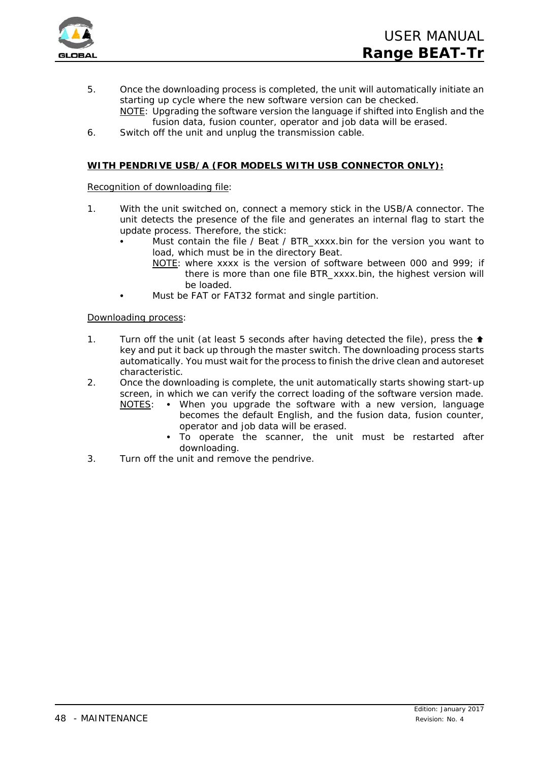![](_page_47_Picture_0.jpeg)

5. Once the downloading process is completed, the unit will automatically initiate an starting up cycle where the new software version can be checked. NOTE: Upgrading the software version the language if shifted into English and the

fusion data, fusion counter, operator and job data will be erased.

6. Switch off the unit and unplug the transmission cable.

## **WITH PENDRIVE USB/A (FOR MODELS WITH USB CONNECTOR ONLY):**

## *Recognition of downloading file:*

- 1. With the unit switched on, connect a memory stick in the USB/A connector. The unit detects the presence of the file and generates an internal flag to start the update process. Therefore, the stick:
	- Must contain the file / Beat / BTR\_xxxx.bin for the version you want to load, which must be in the directory Beat.
		- NOTE: where xxxx is the version of software between 000 and 999; if there is more than one file BTR\_xxxx.bin, the highest version will be loaded.
	- Must be FAT or FAT32 format and single partition.

## *Downloading process:*

- 1. Turn off the unit (at least 5 seconds after having detected the file), press the  $\triangle$ key and put it back up through the master switch. The downloading process starts automatically. You must wait for the process to finish the drive clean and autoreset characteristic.
- 2. Once the downloading is complete, the unit automatically starts showing start-up screen, in which we can verify the correct loading of the software version made.
	- NOTES: When you upgrade the software with a new version, language becomes the default English, and the fusion data, fusion counter, operator and job data will be erased.
		- To operate the scanner, the unit must be restarted after downloading.
- 3. Turn off the unit and remove the pendrive.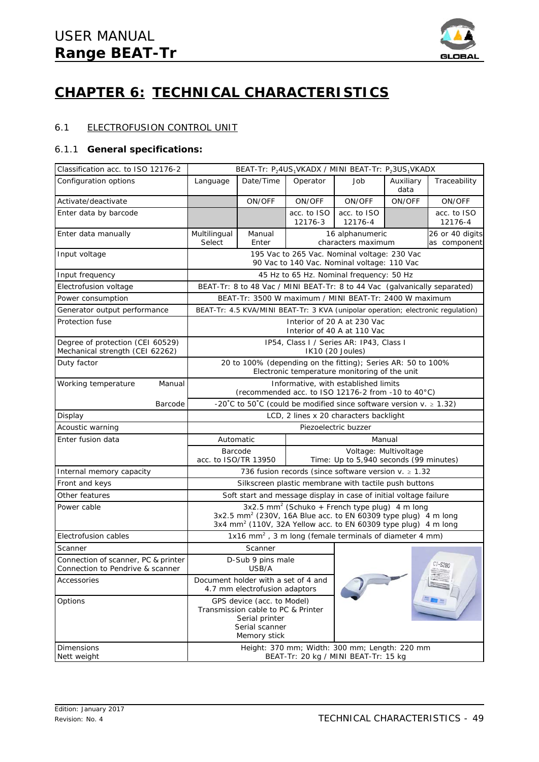![](_page_48_Picture_1.jpeg)

## **CHAPTER 6: TECHNICAL CHARACTERISTICS**

## 6.1 ELECTROFUSION CONTROL UNIT

## 6.1.1 **General specifications:**

| Classification acc. to ISO 12176-2                                      |                                                                                                                                                                                                                          |                                                                                                                      |                                                                      | BEAT-Tr: $P_24US_1VKADX / MINI BEAT-Tr: P_23US_1VKADX$                                                        |                   |                                                                                  |  |
|-------------------------------------------------------------------------|--------------------------------------------------------------------------------------------------------------------------------------------------------------------------------------------------------------------------|----------------------------------------------------------------------------------------------------------------------|----------------------------------------------------------------------|---------------------------------------------------------------------------------------------------------------|-------------------|----------------------------------------------------------------------------------|--|
| Configuration options                                                   | Language                                                                                                                                                                                                                 | Date/Time                                                                                                            | Operator                                                             | dol                                                                                                           | Auxiliary<br>data | Traceability                                                                     |  |
| Activate/deactivate                                                     |                                                                                                                                                                                                                          | ON/OFF                                                                                                               | ON/OFF                                                               | ON/OFF                                                                                                        | ON/OFF            | ON/OFF                                                                           |  |
| Enter data by barcode                                                   |                                                                                                                                                                                                                          |                                                                                                                      | acc. to ISO<br>12176-3                                               | acc. to ISO<br>12176-4                                                                                        |                   | acc. to ISO<br>12176-4                                                           |  |
| Enter data manually                                                     | Multilingual<br>Select                                                                                                                                                                                                   | Manual<br>Enter                                                                                                      |                                                                      | 16 alphanumeric<br>characters maximum                                                                         |                   | 26 or 40 digits<br>as component                                                  |  |
| Input voltage                                                           |                                                                                                                                                                                                                          |                                                                                                                      |                                                                      | 195 Vac to 265 Vac. Nominal voltage: 230 Vac<br>90 Vac to 140 Vac. Nominal voltage: 110 Vac                   |                   |                                                                                  |  |
| Input frequency                                                         |                                                                                                                                                                                                                          |                                                                                                                      |                                                                      | 45 Hz to 65 Hz. Nominal frequency: 50 Hz                                                                      |                   |                                                                                  |  |
| Electrofusion voltage                                                   |                                                                                                                                                                                                                          |                                                                                                                      |                                                                      | BEAT-Tr: 8 to 48 Vac / MINI BEAT-Tr: 8 to 44 Vac (galvanically separated)                                     |                   |                                                                                  |  |
| Power consumption                                                       |                                                                                                                                                                                                                          |                                                                                                                      |                                                                      | BEAT-Tr: 3500 W maximum / MINI BEAT-Tr: 2400 W maximum                                                        |                   |                                                                                  |  |
| Generator output performance                                            |                                                                                                                                                                                                                          |                                                                                                                      |                                                                      |                                                                                                               |                   | BEAT-Tr: 4.5 KVA/MINI BEAT-Tr: 3 KVA (unipolar operation; electronic regulation) |  |
| Protection fuse                                                         |                                                                                                                                                                                                                          |                                                                                                                      |                                                                      | Interior of 20 A at 230 Vac<br>Interior of 40 A at 110 Vac                                                    |                   |                                                                                  |  |
| Degree of protection (CEI 60529)<br>Mechanical strength (CEI 62262)     |                                                                                                                                                                                                                          |                                                                                                                      |                                                                      | IP54, Class I / Series AR: IP43, Class I<br>IK10 (20 Joules)                                                  |                   |                                                                                  |  |
| Duty factor                                                             |                                                                                                                                                                                                                          |                                                                                                                      |                                                                      | 20 to 100% (depending on the fitting); Series AR: 50 to 100%<br>Electronic temperature monitoring of the unit |                   |                                                                                  |  |
| Manual<br>Working temperature                                           | Informative, with established limits<br>(recommended acc. to ISO 12176-2 from -10 to 40°C)                                                                                                                               |                                                                                                                      |                                                                      |                                                                                                               |                   |                                                                                  |  |
| Barcode                                                                 | -20°C to 50°C (could be modified since software version $v. \ge 1.32$ )                                                                                                                                                  |                                                                                                                      |                                                                      |                                                                                                               |                   |                                                                                  |  |
| Display                                                                 | LCD, 2 lines x 20 characters backlight                                                                                                                                                                                   |                                                                                                                      |                                                                      |                                                                                                               |                   |                                                                                  |  |
| Acoustic warning                                                        | Piezoelectric buzzer                                                                                                                                                                                                     |                                                                                                                      |                                                                      |                                                                                                               |                   |                                                                                  |  |
| Enter fusion data                                                       | Manual<br>Automatic                                                                                                                                                                                                      |                                                                                                                      |                                                                      |                                                                                                               |                   |                                                                                  |  |
|                                                                         | Barcode<br>Voltage: Multivoltage<br>acc. to ISO/TR 13950<br>Time: Up to 5,940 seconds (99 minutes)                                                                                                                       |                                                                                                                      |                                                                      |                                                                                                               |                   |                                                                                  |  |
| Internal memory capacity                                                | 736 fusion records (since software version $v \ge 1.32$                                                                                                                                                                  |                                                                                                                      |                                                                      |                                                                                                               |                   |                                                                                  |  |
| Front and keys                                                          | Silkscreen plastic membrane with tactile push buttons                                                                                                                                                                    |                                                                                                                      |                                                                      |                                                                                                               |                   |                                                                                  |  |
| Other features                                                          | Soft start and message display in case of initial voltage failure                                                                                                                                                        |                                                                                                                      |                                                                      |                                                                                                               |                   |                                                                                  |  |
| Power cable                                                             | $3x2.5$ mm <sup>2</sup> (Schuko + French type plug) 4 m long<br>3x2.5 mm <sup>2</sup> (230V, 16A Blue acc. to EN 60309 type plug) 4 m long<br>3x4 mm <sup>2</sup> (110V, 32A Yellow acc. to EN 60309 type plug) 4 m long |                                                                                                                      |                                                                      |                                                                                                               |                   |                                                                                  |  |
| Electrofusion cables                                                    |                                                                                                                                                                                                                          |                                                                                                                      |                                                                      | 1x16 mm <sup>2</sup> , 3 m long (female terminals of diameter 4 mm)                                           |                   |                                                                                  |  |
| Scanner                                                                 |                                                                                                                                                                                                                          | Scanner                                                                                                              |                                                                      |                                                                                                               |                   |                                                                                  |  |
| Connection of scanner, PC & printer<br>Connection to Pendrive & scanner |                                                                                                                                                                                                                          | D-Sub 9 pins male<br>USB/A                                                                                           |                                                                      |                                                                                                               |                   | $CT - S280$                                                                      |  |
| Accessories                                                             |                                                                                                                                                                                                                          |                                                                                                                      | Document holder with a set of 4 and<br>4.7 mm electrofusion adaptors |                                                                                                               |                   |                                                                                  |  |
| Options                                                                 |                                                                                                                                                                                                                          | GPS device (acc. to Model)<br>Transmission cable to PC & Printer<br>Serial printer<br>Serial scanner<br>Memory stick |                                                                      |                                                                                                               |                   |                                                                                  |  |
|                                                                         | Height: 370 mm; Width: 300 mm; Length: 220 mm<br>BEAT-Tr: 20 kg / MINI BEAT-Tr: 15 kg                                                                                                                                    |                                                                                                                      |                                                                      |                                                                                                               |                   |                                                                                  |  |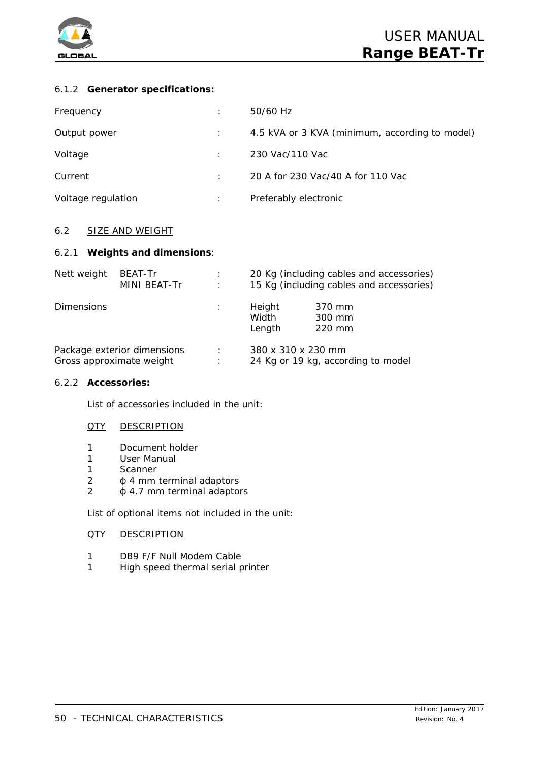![](_page_49_Picture_0.jpeg)

## 6.1.2 **Generator specifications:**

| Frequency          | 50/60 Hz                                       |
|--------------------|------------------------------------------------|
| Output power       | 4.5 kVA or 3 KVA (minimum, according to model) |
| Voltage            | 230 Vac/110 Vac                                |
| Current            | 20 A for 230 Vac/40 A for 110 Vac              |
| Voltage regulation | Preferably electronic                          |

## 6.2 SIZE AND WEIGHT

## 6.2.1 **Weights and dimensions**:

| Nett weight                 | <b>BEAT-Tr</b> | ÷                    | 20 Kg (including cables and accessories) |                            |  |
|-----------------------------|----------------|----------------------|------------------------------------------|----------------------------|--|
|                             | MINI BEAT-Tr   | $\ddot{\phantom{a}}$ | 15 Kg (including cables and accessories) |                            |  |
| <b>Dimensions</b>           |                |                      | Height<br>Width<br>Length                | 370 mm<br>300 mm<br>220 mm |  |
| Package exterior dimensions |                | ÷                    | 380 x 310 x 230 mm                       |                            |  |
| Gross approximate weight    |                | ÷                    | 24 Kg or 19 kg, according to model       |                            |  |

## 6.2.2 **Accessories:**

List of accessories included in the unit:

## **QTY DESCRIPTION**

- 1 Document holder
- 1 User Manual
- 1 Scanner
- $2 \phi$  4 mm terminal adaptors
- $2 \phi$  4.7 mm terminal adaptors

List of optional items not included in the unit:

## QTY DESCRIPTION

- 1 DB9 F/F Null Modem Cable
- 1 High speed thermal serial printer